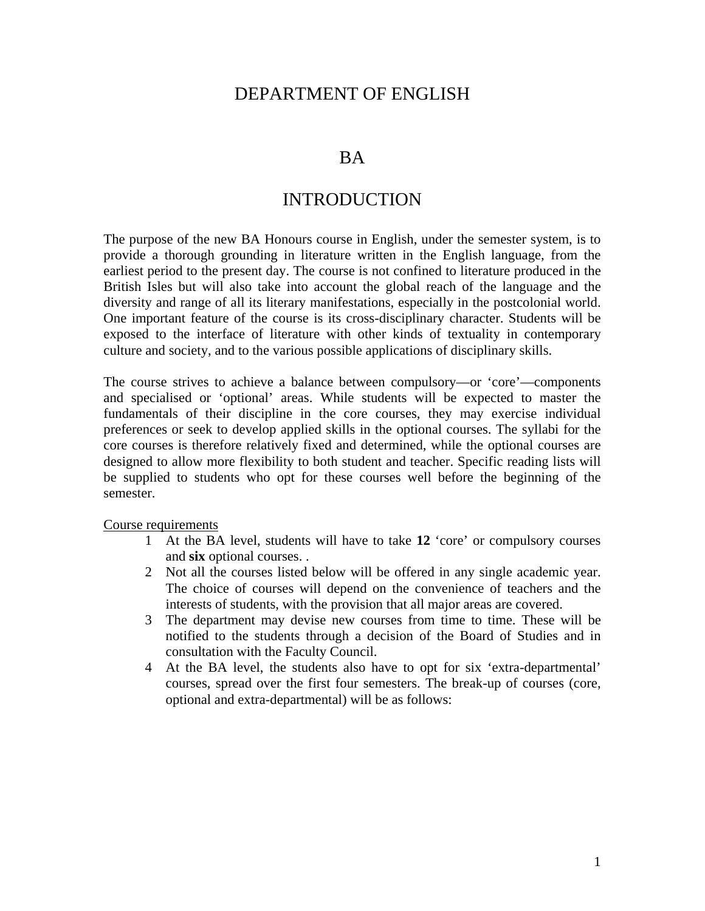# DEPARTMENT OF ENGLISH

## BA

## INTRODUCTION

The purpose of the new BA Honours course in English, under the semester system, is to provide a thorough grounding in literature written in the English language, from the earliest period to the present day. The course is not confined to literature produced in the British Isles but will also take into account the global reach of the language and the diversity and range of all its literary manifestations, especially in the postcolonial world. One important feature of the course is its cross-disciplinary character. Students will be exposed to the interface of literature with other kinds of textuality in contemporary culture and society, and to the various possible applications of disciplinary skills.

The course strives to achieve a balance between compulsory—or 'core'—components and specialised or 'optional' areas. While students will be expected to master the fundamentals of their discipline in the core courses, they may exercise individual preferences or seek to develop applied skills in the optional courses. The syllabi for the core courses is therefore relatively fixed and determined, while the optional courses are designed to allow more flexibility to both student and teacher. Specific reading lists will be supplied to students who opt for these courses well before the beginning of the semester.

Course requirements

- 1 At the BA level, students will have to take **12** 'core' or compulsory courses and **six** optional courses. .
- 2 Not all the courses listed below will be offered in any single academic year. The choice of courses will depend on the convenience of teachers and the interests of students, with the provision that all major areas are covered.
- 3 The department may devise new courses from time to time. These will be notified to the students through a decision of the Board of Studies and in consultation with the Faculty Council.
- 4 At the BA level, the students also have to opt for six 'extra-departmental' courses, spread over the first four semesters. The break-up of courses (core, optional and extra-departmental) will be as follows: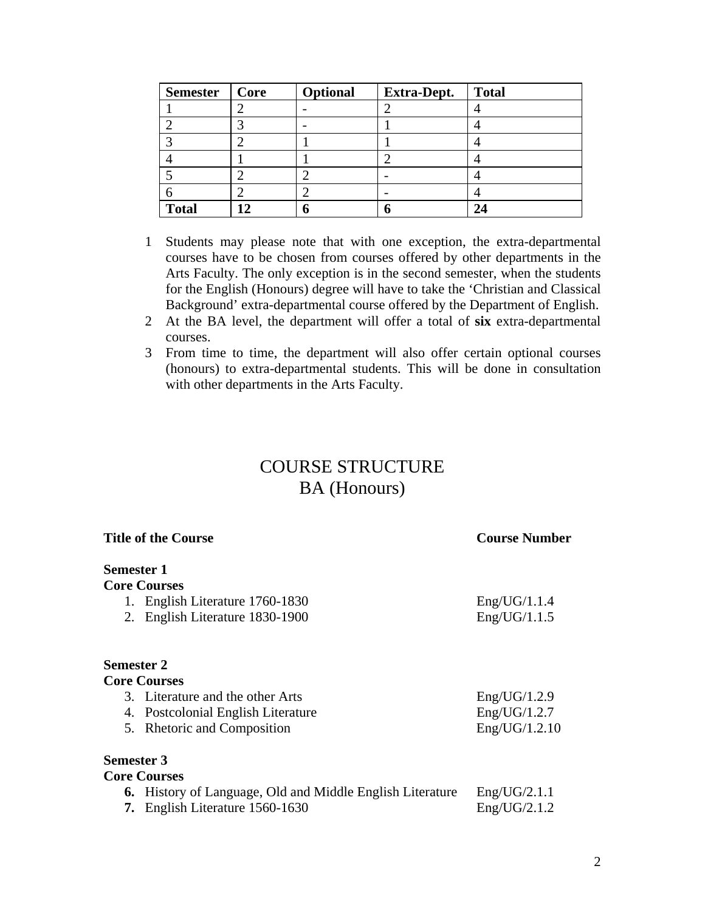| <b>Semester</b> | Core | Optional | <b>Extra-Dept.</b>       | <b>Total</b> |
|-----------------|------|----------|--------------------------|--------------|
|                 |      |          |                          |              |
|                 |      |          |                          |              |
|                 |      |          |                          |              |
|                 |      |          |                          |              |
|                 |      |          | $\overline{\phantom{0}}$ |              |
|                 |      |          | $\overline{\phantom{0}}$ |              |
| <b>Total</b>    |      |          |                          |              |

- 1 Students may please note that with one exception, the extra-departmental courses have to be chosen from courses offered by other departments in the Arts Faculty. The only exception is in the second semester, when the students for the English (Honours) degree will have to take the 'Christian and Classical Background' extra-departmental course offered by the Department of English.
- 2 At the BA level, the department will offer a total of **six** extra-departmental courses.
- 3 From time to time, the department will also offer certain optional courses (honours) to extra-departmental students. This will be done in consultation with other departments in the Arts Faculty.

# COURSE STRUCTURE BA (Honours)

| <b>Title of the Course</b>                                       | <b>Course Number</b> |  |
|------------------------------------------------------------------|----------------------|--|
| <b>Semester 1</b>                                                |                      |  |
| <b>Core Courses</b>                                              |                      |  |
| 1. English Literature 1760-1830                                  | Eng/UG/1.1.4         |  |
| 2. English Literature 1830-1900                                  | Eng/UG/1.1.5         |  |
| <b>Semester 2</b>                                                |                      |  |
| <b>Core Courses</b>                                              |                      |  |
| 3. Literature and the other Arts                                 | Eng/UG/1.2.9         |  |
| 4. Postcolonial English Literature                               | Eng/UG/1.2.7         |  |
| 5. Rhetoric and Composition                                      | Eng/UG/1.2.10        |  |
| <b>Semester 3</b>                                                |                      |  |
| <b>Core Courses</b>                                              |                      |  |
| <b>6.</b> History of Language, Old and Middle English Literature | Eng/UG/2.1.1         |  |
| English Literature 1560-1630<br>7.                               | Eng/UG/2.1.2         |  |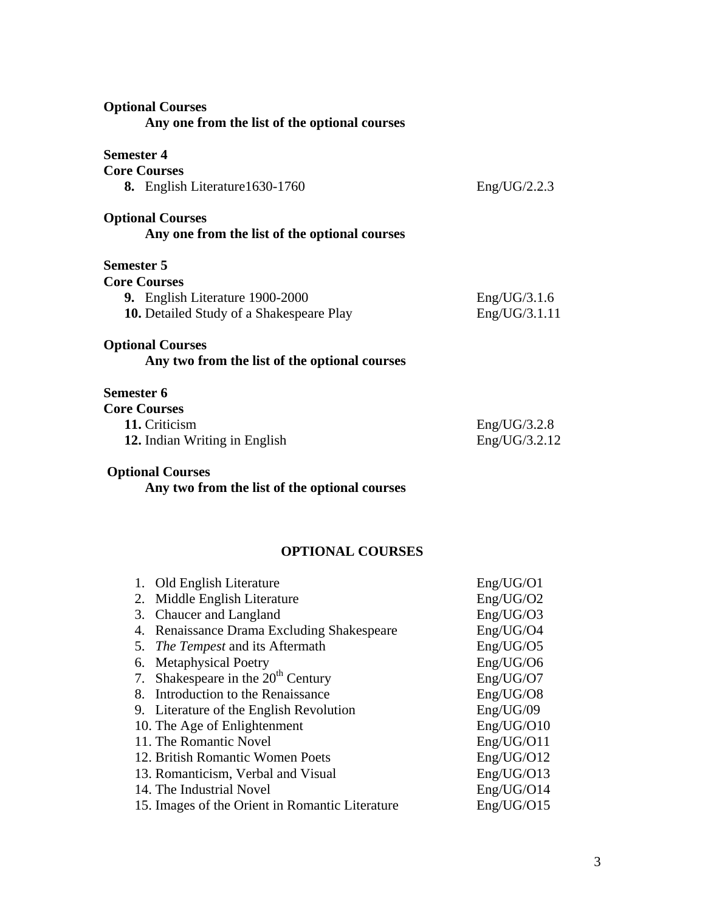| <b>Optional Courses</b><br>Any one from the list of the optional courses |               |
|--------------------------------------------------------------------------|---------------|
| <b>Semester 4</b>                                                        |               |
| <b>Core Courses</b>                                                      |               |
| 8. English Literature 1630-1760                                          | Eng/UG/2.2.3  |
| <b>Optional Courses</b><br>Any one from the list of the optional courses |               |
| <b>Semester 5</b>                                                        |               |
| <b>Core Courses</b>                                                      |               |
| 9. English Literature 1900-2000                                          | Eng/UG/3.1.6  |
| <b>10.</b> Detailed Study of a Shakespeare Play                          | Eng/UG/3.1.11 |
| <b>Optional Courses</b><br>Any two from the list of the optional courses |               |
| <b>Semester 6</b>                                                        |               |
| <b>Core Courses</b>                                                      |               |
| 11. Criticism                                                            | Eng/UG/3.2.8  |
| 12. Indian Writing in English                                            | Eng/UG/3.2.12 |
| <b>Optional Courses</b><br>Any two from the list of the optional courses |               |
| <b>OPTIONAL COURSES</b>                                                  |               |
| Old English Literature<br>1.                                             | Eng/UG/O1     |
| Middle English Literature<br>2.                                          | Eng/UG/O2     |
| 3.<br>Chaucer and Langland                                               | Eng/UG/O3     |
| Renaissance Drama Excluding Shakespeare<br>4.                            | Eng/UG/O4     |
| The Tempest and its Aftermath<br>5.                                      | Eng/UG/O5     |
| <b>Metaphysical Poetry</b><br>6.                                         | Eng/UG/O6     |
| Shakespeare in the 20 <sup>th</sup> Century<br>7.                        | Eng/UG/O7     |
| Introduction to the Renaissance<br>8.                                    | Eng/UG/O8     |
| Literature of the English Revolution<br>9.                               | Eng/UG/09     |
| 10. The Age of Enlightenment                                             | Eng/UG/O10    |

- 10. The Age of Enlightenment<br>
11. The Romantic Novel<br>
Eng/UG/O11 11. The Romantic Novel<br>
12. British Romantic Women Poets<br>
Eng/UG/O12<br>
Eng/UG/O12
- 12. British Romantic Women Poets<br>
13. Romanticism, Verbal and Visual<br>
Eng/UG/O13
- 13. Romanticism, Verbal and Visual Eng/UG/O13<br>14. The Industrial Novel Eng/UG/O14
- 
- 14. The Industrial Novel Eng/UG/O14<br>15. Images of the Orient in Romantic Literature Eng/UG/O15 15. Images of the Orient in Romantic Literature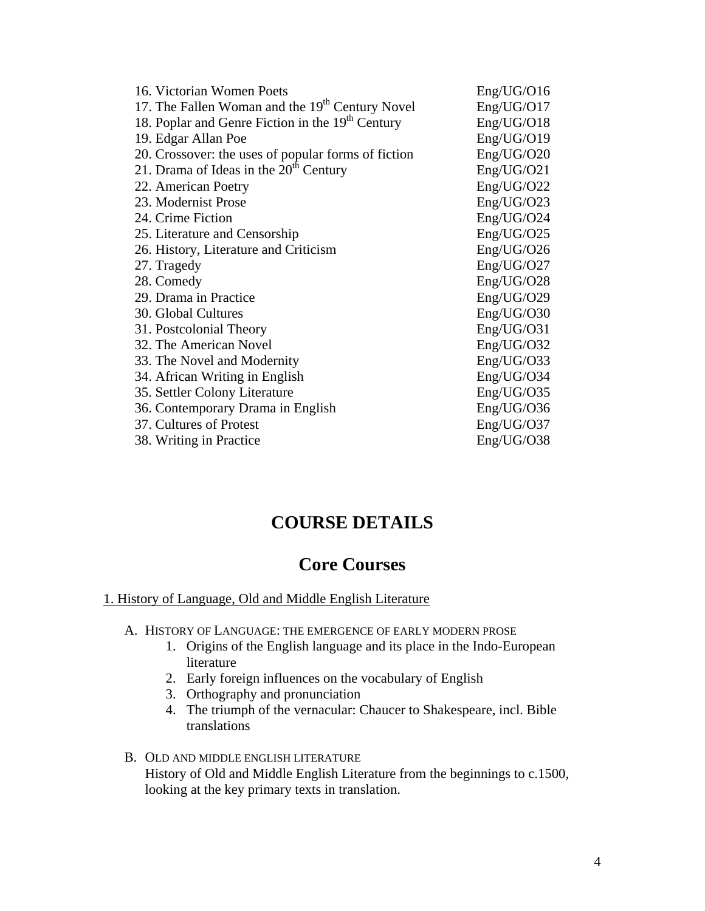| 16. Victorian Women Poets                                    | Eng/UG/O16 |
|--------------------------------------------------------------|------------|
| 17. The Fallen Woman and the 19 <sup>th</sup> Century Novel  | Eng/UG/O17 |
| 18. Poplar and Genre Fiction in the 19 <sup>th</sup> Century | Eng/UG/O18 |
| 19. Edgar Allan Poe                                          | Eng/UG/O19 |
| 20. Crossover: the uses of popular forms of fiction          | Eng/UG/O20 |
| 21. Drama of Ideas in the $20th$ Century                     | Eng/UG/O21 |
| 22. American Poetry                                          | Eng/UG/O22 |
| 23. Modernist Prose                                          | Eng/UG/O23 |
| 24. Crime Fiction                                            | Eng/UG/O24 |
| 25. Literature and Censorship                                | Eng/UG/O25 |
| 26. History, Literature and Criticism                        | Eng/UG/O26 |
| 27. Tragedy                                                  | Eng/UG/O27 |
| 28. Comedy                                                   | Eng/UG/O28 |
| 29. Drama in Practice                                        | Eng/UG/O29 |
| 30. Global Cultures                                          | Eng/UG/O30 |
| 31. Postcolonial Theory                                      | Eng/UG/O31 |
| 32. The American Novel                                       | Eng/UG/O32 |
| 33. The Novel and Modernity                                  | Eng/UG/O33 |
| 34. African Writing in English                               | Eng/UG/O34 |
| 35. Settler Colony Literature                                | Eng/UG/O35 |
| 36. Contemporary Drama in English                            | Eng/UG/O36 |
| 37. Cultures of Protest                                      | Eng/UG/O37 |
| 38. Writing in Practice                                      | Eng/UG/O38 |

# **COURSE DETAILS**

# **Core Courses**

### 1. History of Language, Old and Middle English Literature

- A. HISTORY OF LANGUAGE: THE EMERGENCE OF EARLY MODERN PROSE
	- 1. Origins of the English language and its place in the Indo-European literature
	- 2. Early foreign influences on the vocabulary of English
	- 3. Orthography and pronunciation
	- 4. The triumph of the vernacular: Chaucer to Shakespeare, incl. Bible translations
- B. OLD AND MIDDLE ENGLISH LITERATURE History of Old and Middle English Literature from the beginnings to c.1500, looking at the key primary texts in translation.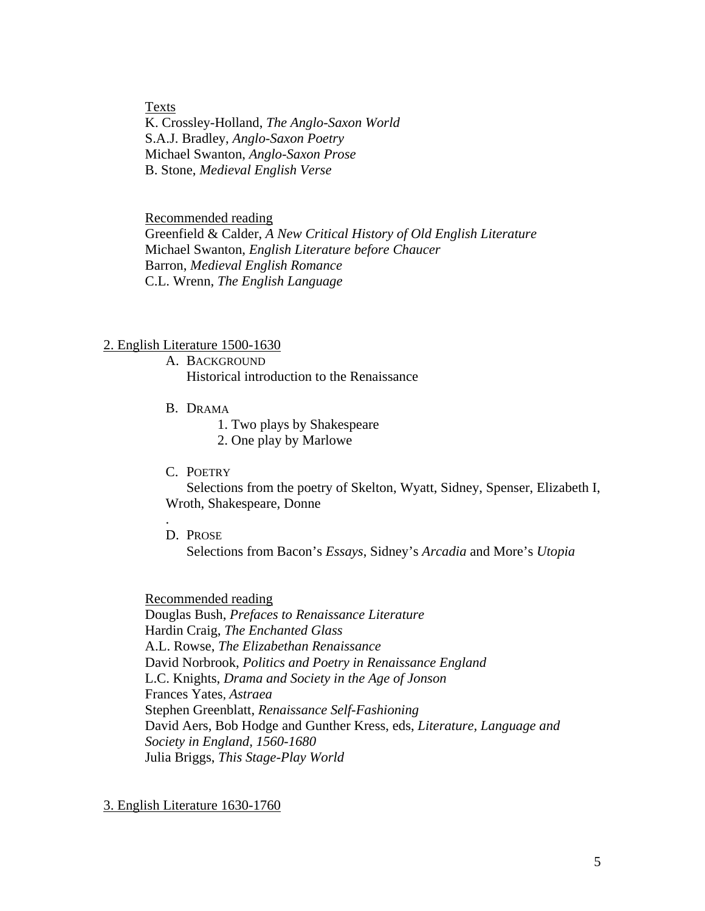Texts K. Crossley-Holland, *The Anglo-Saxon World*  S.A.J. Bradley, *Anglo-Saxon Poetry*  Michael Swanton, *Anglo-Saxon Prose* B. Stone, *Medieval English Verse* 

Recommended reading Greenfield & Calder, *A New Critical History of Old English Literature*  Michael Swanton, *English Literature before Chaucer*  Barron, *Medieval English Romance*  C.L. Wrenn, *The English Language* 

### 2. English Literature 1500-1630

- A. BACKGROUND Historical introduction to the Renaissance
- B. DRAMA
	- 1. Two plays by Shakespeare
	- 2. One play by Marlowe
- C. POETRY

Selections from the poetry of Skelton, Wyatt, Sidney, Spenser, Elizabeth I, Wroth, Shakespeare, Donne

D. PROSE

.

Selections from Bacon's *Essays*, Sidney's *Arcadia* and More's *Utopia* 

Recommended reading Douglas Bush, *Prefaces to Renaissance Literature*  Hardin Craig, *The Enchanted Glass*  A.L. Rowse, *The Elizabethan Renaissance*  David Norbrook, *Politics and Poetry in Renaissance England*  L.C. Knights, *Drama and Society in the Age of Jonson*  Frances Yates, *Astraea*  Stephen Greenblatt, *Renaissance Self-Fashioning*  David Aers, Bob Hodge and Gunther Kress, eds, *Literature, Language and Society in England, 1560-1680*  Julia Briggs, *This Stage-Play World* 

### 3. English Literature 1630-1760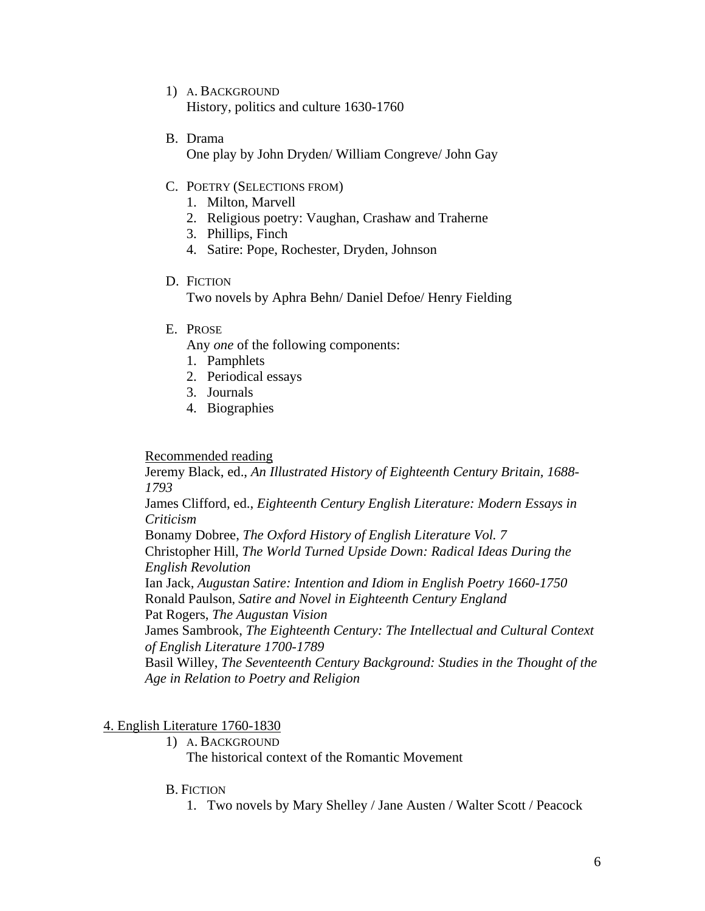- 1) A. BACKGROUND History, politics and culture 1630-1760
- B. Drama

One play by John Dryden/ William Congreve/ John Gay

- C. POETRY (SELECTIONS FROM)
	- 1. Milton, Marvell
	- 2. Religious poetry: Vaughan, Crashaw and Traherne
	- 3. Phillips, Finch
	- 4. Satire: Pope, Rochester, Dryden, Johnson
- D. FICTION

Two novels by Aphra Behn/ Daniel Defoe/ Henry Fielding

E. PROSE

Any *one* of the following components:

- 1. Pamphlets
- 2. Periodical essays
- 3. Journals
- 4. Biographies

Recommended reading

Jeremy Black, ed., *An Illustrated History of Eighteenth Century Britain, 1688- 1793* 

James Clifford, ed., *Eighteenth Century English Literature: Modern Essays in Criticism* 

Bonamy Dobree, *The Oxford History of English Literature Vol. 7*  Christopher Hill, *The World Turned Upside Down: Radical Ideas During the English Revolution* 

Ian Jack, *Augustan Satire: Intention and Idiom in English Poetry 1660-1750*  Ronald Paulson, *Satire and Novel in Eighteenth Century England* 

Pat Rogers, *The Augustan Vision* 

James Sambrook, *The Eighteenth Century: The Intellectual and Cultural Context of English Literature 1700-1789* 

Basil Willey, *The Seventeenth Century Background: Studies in the Thought of the Age in Relation to Poetry and Religion* 

4. English Literature 1760-1830

1) A. BACKGROUND

The historical context of the Romantic Movement

### B. FICTION

1. Two novels by Mary Shelley / Jane Austen / Walter Scott / Peacock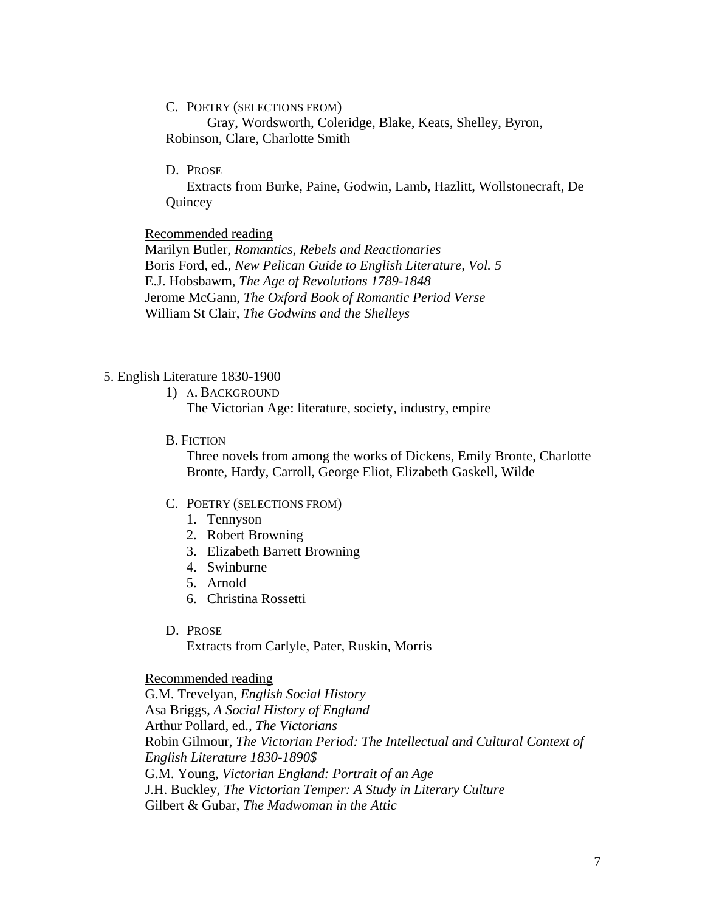C. POETRY (SELECTIONS FROM)

Gray, Wordsworth, Coleridge, Blake, Keats, Shelley, Byron, Robinson, Clare, Charlotte Smith

D. PROSE

Extracts from Burke, Paine, Godwin, Lamb, Hazlitt, Wollstonecraft, De Quincey

### Recommended reading

Marilyn Butler, *Romantics, Rebels and Reactionaries*  Boris Ford, ed., *New Pelican Guide to English Literature, Vol. 5*  E.J. Hobsbawm, *The Age of Revolutions 1789-1848*  Jerome McGann, *The Oxford Book of Romantic Period Verse*  William St Clair, *The Godwins and the Shelleys* 

### 5. English Literature 1830-1900

1) A. BACKGROUND The Victorian Age: literature, society, industry, empire

B. FICTION

Three novels from among the works of Dickens, Emily Bronte, Charlotte Bronte, Hardy, Carroll, George Eliot, Elizabeth Gaskell, Wilde

### C. POETRY (SELECTIONS FROM)

- 1. Tennyson
- 2. Robert Browning
- 3. Elizabeth Barrett Browning
- 4. Swinburne
- 5. Arnold
- 6. Christina Rossetti
- D. PROSE

Extracts from Carlyle, Pater, Ruskin, Morris

### Recommended reading

G.M. Trevelyan, *English Social History*  Asa Briggs, *A Social History of England*  Arthur Pollard, ed., *The Victorians*  Robin Gilmour, *The Victorian Period: The Intellectual and Cultural Context of English Literature 1830-1890\$*  G.M. Young, *Victorian England: Portrait of an Age*  J.H. Buckley, *The Victorian Temper: A Study in Literary Culture*  Gilbert & Gubar, *The Madwoman in the Attic*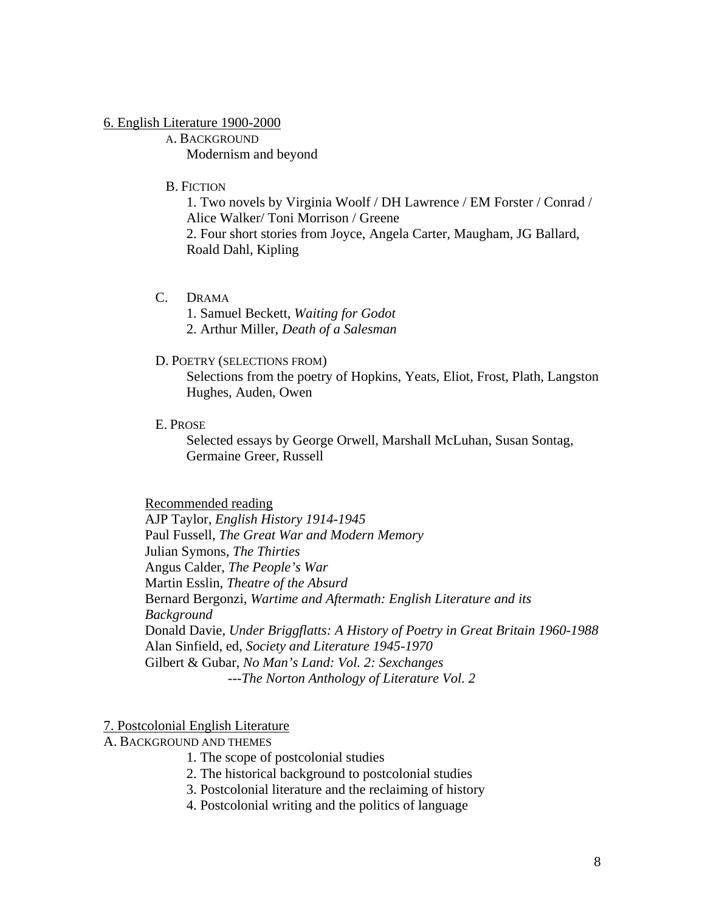### 6. English Literature 1900-2000

A. BACKGROUND Modernism and beyond

B. FICTION

1. Two novels by Virginia Woolf / DH Lawrence / EM Forster / Conrad / Alice Walker/ Toni Morrison / Greene 2. Four short stories from Joyce, Angela Carter, Maugham, JG Ballard, Roald Dahl, Kipling

- C. DRAMA
	- 1. Samuel Beckett, *Waiting for Godot*
	- 2. Arthur Miller, *Death of a Salesman*

### D. POETRY (SELECTIONS FROM)

Selections from the poetry of Hopkins, Yeats, Eliot, Frost, Plath, Langston Hughes, Auden, Owen

E. PROSE

Selected essays by George Orwell, Marshall McLuhan, Susan Sontag, Germaine Greer, Russell

### Recommended reading

AJP Taylor, *English History 1914-1945*  Paul Fussell, *The Great War and Modern Memory*  Julian Symons, *The Thirties*  Angus Calder, *The People's War*  Martin Esslin, *Theatre of the Absurd* Bernard Bergonzi, *Wartime and Aftermath: English Literature and its Background*  Donald Davie, *Under Briggflatts: A History of Poetry in Great Britain 1960-1988*  Alan Sinfield, ed, *Society and Literature 1945-1970*  Gilbert & Gubar, *No Man's Land: Vol. 2: Sexchanges ---The Norton Anthology of Literature Vol. 2* 

### 7. Postcolonial English Literature

A. BACKGROUND AND THEMES

- 1. The scope of postcolonial studies
- 2. The historical background to postcolonial studies
- 3. Postcolonial literature and the reclaiming of history
- 4. Postcolonial writing and the politics of language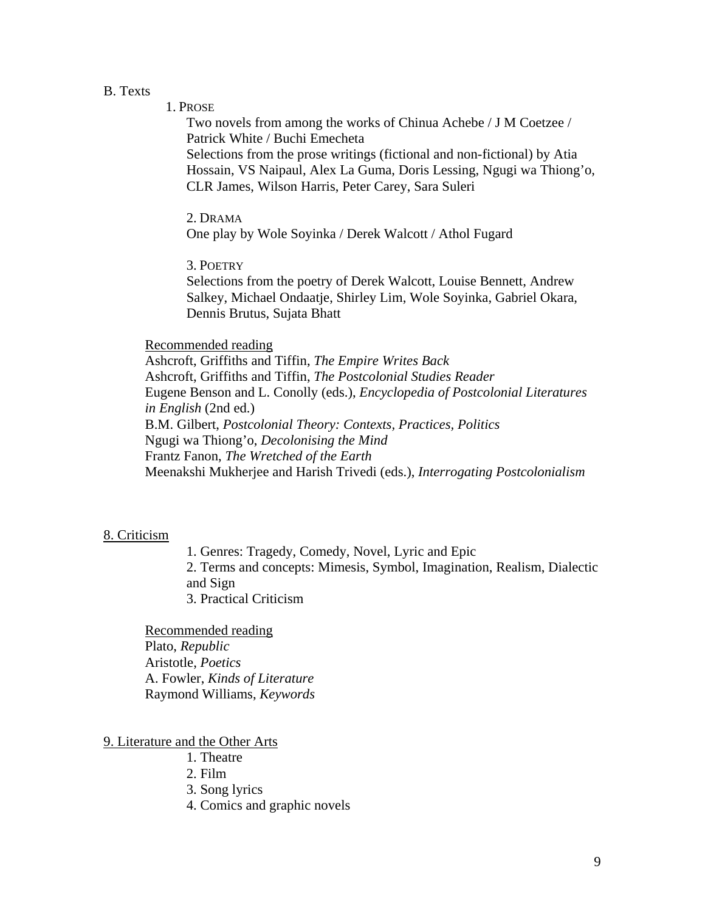### B. Texts

### 1. PROSE

Two novels from among the works of Chinua Achebe / J M Coetzee / Patrick White / Buchi Emecheta Selections from the prose writings (fictional and non-fictional) by Atia Hossain, VS Naipaul, Alex La Guma, Doris Lessing, Ngugi wa Thiong'o, CLR James, Wilson Harris, Peter Carey, Sara Suleri

### 2. DRAMA

One play by Wole Soyinka / Derek Walcott / Athol Fugard

### 3. POETRY

Selections from the poetry of Derek Walcott, Louise Bennett, Andrew Salkey, Michael Ondaatje, Shirley Lim, Wole Soyinka, Gabriel Okara, Dennis Brutus, Sujata Bhatt

### Recommended reading

Ashcroft, Griffiths and Tiffin, *The Empire Writes Back*  Ashcroft, Griffiths and Tiffin, *The Postcolonial Studies Reader*  Eugene Benson and L. Conolly (eds.), *Encyclopedia of Postcolonial Literatures in English* (2nd ed.) B.M. Gilbert, *Postcolonial Theory: Contexts, Practices, Politics*  Ngugi wa Thiong'o, *Decolonising the Mind*  Frantz Fanon, *The Wretched of the Earth*  Meenakshi Mukherjee and Harish Trivedi (eds.), *Interrogating Postcolonialism* 

### 8. Criticism

1. Genres: Tragedy, Comedy, Novel, Lyric and Epic 2. Terms and concepts: Mimesis, Symbol, Imagination, Realism, Dialectic and Sign 3. Practical Criticism

Recommended reading Plato, *Republic* Aristotle, *Poetics*  A. Fowler, *Kinds of Literature*  Raymond Williams, *Keywords* 

### 9. Literature and the Other Arts

- 1. Theatre
- 2. Film
- 3. Song lyrics
- 4. Comics and graphic novels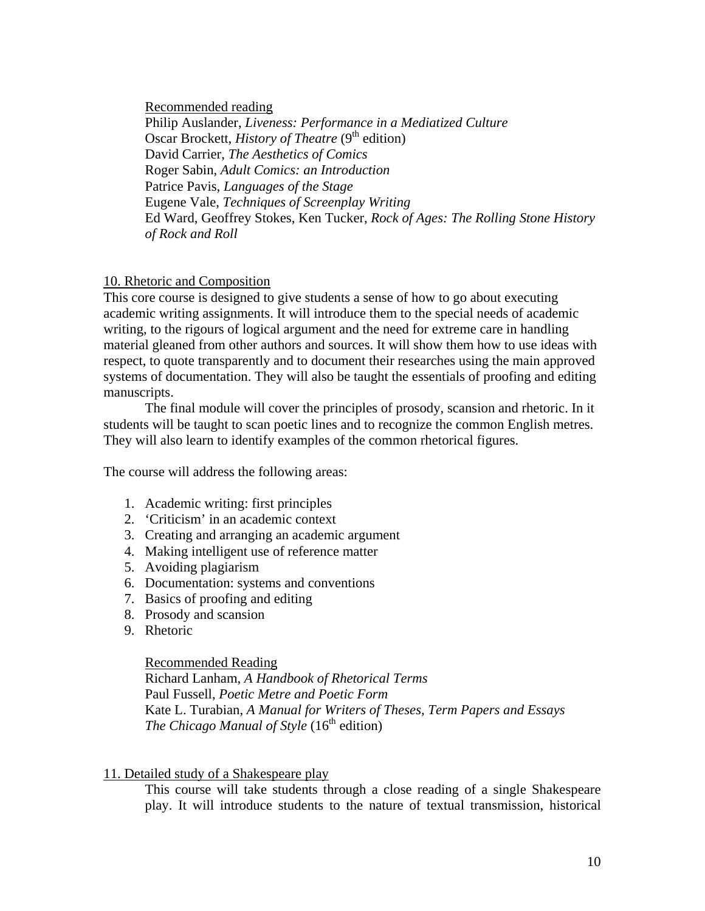Recommended reading

Philip Auslander, *Liveness: Performance in a Mediatized Culture*  Oscar Brockett, *History of Theatre* (9<sup>th</sup> edition) David Carrier, *The Aesthetics of Comics*  Roger Sabin, *Adult Comics: an Introduction*  Patrice Pavis, *Languages of the Stage*  Eugene Vale, *Techniques of Screenplay Writing*  Ed Ward, Geoffrey Stokes, Ken Tucker, *Rock of Ages: The Rolling Stone History of Rock and Roll* 

### 10. Rhetoric and Composition

This core course is designed to give students a sense of how to go about executing academic writing assignments. It will introduce them to the special needs of academic writing, to the rigours of logical argument and the need for extreme care in handling material gleaned from other authors and sources. It will show them how to use ideas with respect, to quote transparently and to document their researches using the main approved systems of documentation. They will also be taught the essentials of proofing and editing manuscripts.

The final module will cover the principles of prosody, scansion and rhetoric. In it students will be taught to scan poetic lines and to recognize the common English metres. They will also learn to identify examples of the common rhetorical figures.

The course will address the following areas:

- 1. Academic writing: first principles
- 2. 'Criticism' in an academic context
- 3. Creating and arranging an academic argument
- 4. Making intelligent use of reference matter
- 5. Avoiding plagiarism
- 6. Documentation: systems and conventions
- 7. Basics of proofing and editing
- 8. Prosody and scansion
- 9. Rhetoric

### Recommended Reading

Richard Lanham, *A Handbook of Rhetorical Terms* Paul Fussell, *Poetic Metre and Poetic Form* Kate L. Turabian, *A Manual for Writers of Theses, Term Papers and Essays* The Chicago Manual of Style (16<sup>th</sup> edition)

### 11. Detailed study of a Shakespeare play

This course will take students through a close reading of a single Shakespeare play. It will introduce students to the nature of textual transmission, historical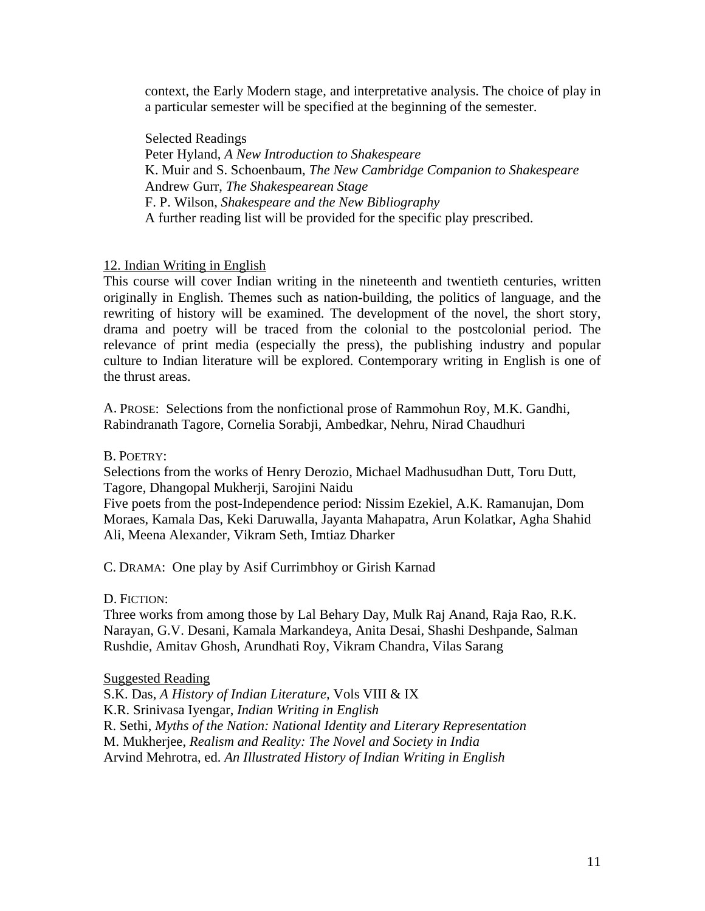context, the Early Modern stage, and interpretative analysis. The choice of play in a particular semester will be specified at the beginning of the semester.

Selected Readings Peter Hyland, *A New Introduction to Shakespeare*  K. Muir and S. Schoenbaum, *The New Cambridge Companion to Shakespeare*  Andrew Gurr, *The Shakespearean Stage*  F. P. Wilson, *Shakespeare and the New Bibliography*  A further reading list will be provided for the specific play prescribed.

### 12. Indian Writing in English

This course will cover Indian writing in the nineteenth and twentieth centuries, written originally in English. Themes such as nation-building, the politics of language, and the rewriting of history will be examined. The development of the novel, the short story, drama and poetry will be traced from the colonial to the postcolonial period. The relevance of print media (especially the press), the publishing industry and popular culture to Indian literature will be explored. Contemporary writing in English is one of the thrust areas.

A. PROSE: Selections from the nonfictional prose of Rammohun Roy, M.K. Gandhi, Rabindranath Tagore, Cornelia Sorabji, Ambedkar, Nehru, Nirad Chaudhuri

B. POETRY:

Selections from the works of Henry Derozio, Michael Madhusudhan Dutt, Toru Dutt, Tagore, Dhangopal Mukherji, Sarojini Naidu

Five poets from the post-Independence period: Nissim Ezekiel, A.K. Ramanujan, Dom Moraes, Kamala Das, Keki Daruwalla, Jayanta Mahapatra, Arun Kolatkar, Agha Shahid Ali, Meena Alexander, Vikram Seth, Imtiaz Dharker

C. DRAMA: One play by Asif Currimbhoy or Girish Karnad

D. FICTION:

Three works from among those by Lal Behary Day, Mulk Raj Anand, Raja Rao, R.K. Narayan, G.V. Desani, Kamala Markandeya, Anita Desai, Shashi Deshpande, Salman Rushdie, Amitav Ghosh, Arundhati Roy, Vikram Chandra, Vilas Sarang

Suggested Reading

S.K. Das, *A History of Indian Literature,* Vols VIII & IX K.R. Srinivasa Iyengar, *Indian Writing in English* R. Sethi, *Myths of the Nation: National Identity and Literary Representation* M. Mukherjee, *Realism and Reality: The Novel and Society in India*  Arvind Mehrotra, ed. *An Illustrated History of Indian Writing in English*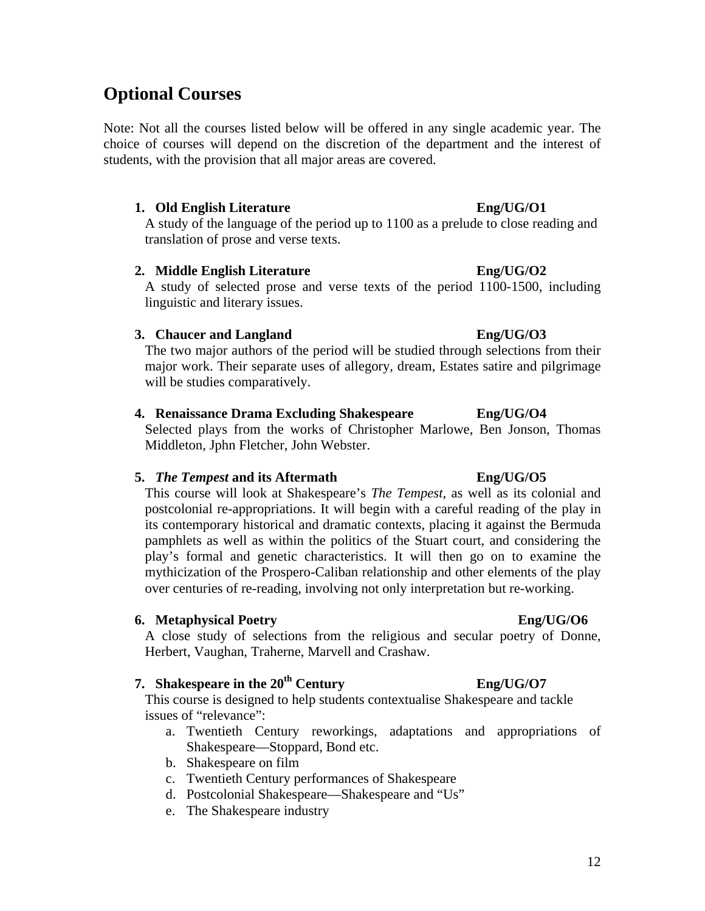12

# **Optional Courses**

Note: Not all the courses listed below will be offered in any single academic year. The choice of courses will depend on the discretion of the department and the interest of students, with the provision that all major areas are covered.

### **1. Old English Literature Eng/UG/O1**

A study of the language of the period up to 1100 as a prelude to close reading and translation of prose and verse texts.

### **2. Middle English Literature Eng/UG/O2**

A study of selected prose and verse texts of the period 1100-1500, including linguistic and literary issues.

### **3. Chaucer and Langland Eng/UG/O3**

The two major authors of the period will be studied through selections from their major work. Their separate uses of allegory, dream, Estates satire and pilgrimage will be studies comparatively.

### **4. Renaissance Drama Excluding Shakespeare Eng/UG/O4**

Selected plays from the works of Christopher Marlowe, Ben Jonson, Thomas Middleton, Jphn Fletcher, John Webster.

### **5.** *The Tempest* **and its Aftermath Eng/UG/O5**

This course will look at Shakespeare's *The Tempest*, as well as its colonial and postcolonial re-appropriations. It will begin with a careful reading of the play in its contemporary historical and dramatic contexts, placing it against the Bermuda pamphlets as well as within the politics of the Stuart court, and considering the play's formal and genetic characteristics. It will then go on to examine the mythicization of the Prospero-Caliban relationship and other elements of the play over centuries of re-reading, involving not only interpretation but re-working.

### **6.** Metaphysical Poetry **English** Englished Englished Englished Englished Englished Englished Englished Englished Englished Englished Englished Englished Englished Englished Englished Englished Englished Englished English

A close study of selections from the religious and secular poetry of Donne, Herbert, Vaughan, Traherne, Marvell and Crashaw.

# **7. Shakespeare in the**  $20^{th}$  **<b>Century** Eng/UG/O7

This course is designed to help students contextualise Shakespeare and tackle issues of "relevance":

- a. Twentieth Century reworkings, adaptations and appropriations of Shakespeare—Stoppard, Bond etc.
- b. Shakespeare on film
- c. Twentieth Century performances of Shakespeare
- d. Postcolonial Shakespeare—Shakespeare and "Us"
- e. The Shakespeare industry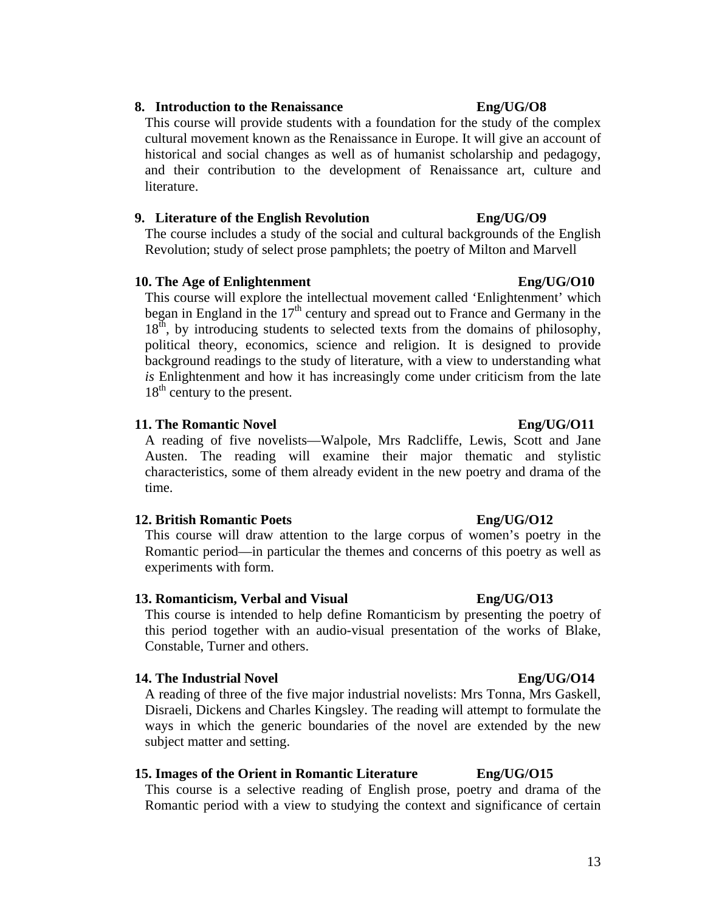# **8. Introduction to the Renaissance Eng/UG/O8**

This course will provide students with a foundation for the study of the complex cultural movement known as the Renaissance in Europe. It will give an account of historical and social changes as well as of humanist scholarship and pedagogy, and their contribution to the development of Renaissance art, culture and literature.

# **9. Literature of the English Revolution Eng/UG/O9**

The course includes a study of the social and cultural backgrounds of the English Revolution; study of select prose pamphlets; the poetry of Milton and Marvell

# **10.** The Age of Enlightenment Eng/UG/O10

This course will explore the intellectual movement called 'Enlightenment' which began in England in the  $17<sup>th</sup>$  century and spread out to France and Germany in the  $18<sup>th</sup>$ , by introducing students to selected texts from the domains of philosophy, political theory, economics, science and religion. It is designed to provide background readings to the study of literature, with a view to understanding what *is* Enlightenment and how it has increasingly come under criticism from the late  $18<sup>th</sup>$  century to the present.

# **11.** The Romantic Novel **Eng/UG/O11**

A reading of five novelists—Walpole, Mrs Radcliffe, Lewis, Scott and Jane Austen. The reading will examine their major thematic and stylistic characteristics, some of them already evident in the new poetry and drama of the time.

## **12. British Romantic Poets Eng/UG/O12**

This course will draw attention to the large corpus of women's poetry in the Romantic period—in particular the themes and concerns of this poetry as well as experiments with form.

# **13. Romanticism, Verbal and Visual Eng/UG/O13**

This course is intended to help define Romanticism by presenting the poetry of this period together with an audio-visual presentation of the works of Blake, Constable, Turner and others.

# **14.** The Industrial Novel **Eng/UG/O14**

A reading of three of the five major industrial novelists: Mrs Tonna, Mrs Gaskell, Disraeli, Dickens and Charles Kingsley. The reading will attempt to formulate the ways in which the generic boundaries of the novel are extended by the new subject matter and setting.

# **15. Images of the Orient in Romantic Literature Eng/UG/O15**

This course is a selective reading of English prose, poetry and drama of the Romantic period with a view to studying the context and significance of certain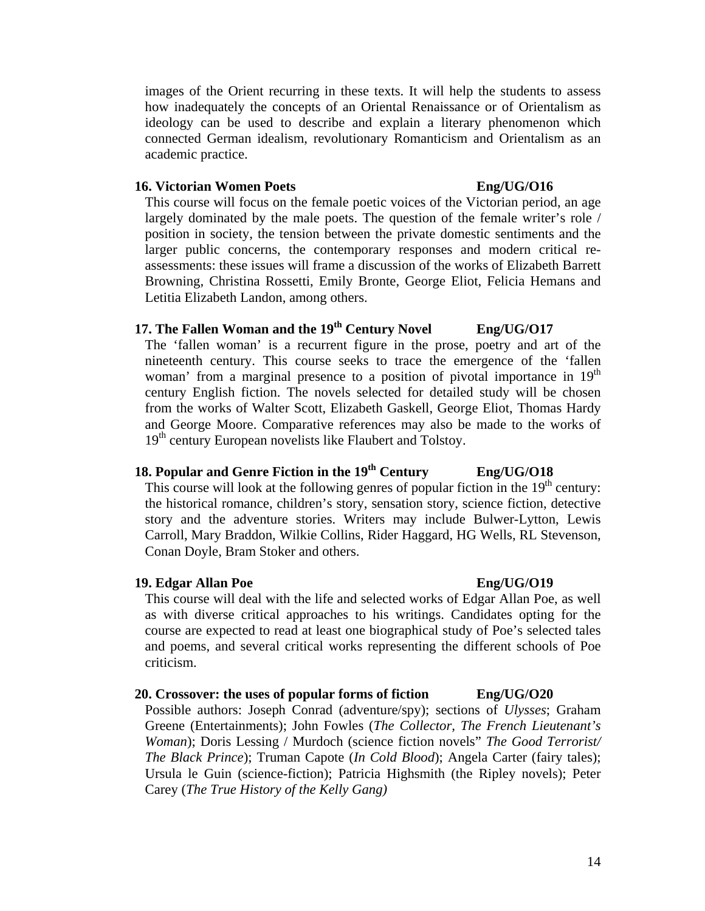images of the Orient recurring in these texts. It will help the students to assess how inadequately the concepts of an Oriental Renaissance or of Orientalism as ideology can be used to describe and explain a literary phenomenon which connected German idealism, revolutionary Romanticism and Orientalism as an academic practice.

### **16. Victorian Women Poets Eng/UG/O16**

This course will focus on the female poetic voices of the Victorian period, an age largely dominated by the male poets. The question of the female writer's role / position in society, the tension between the private domestic sentiments and the larger public concerns, the contemporary responses and modern critical reassessments: these issues will frame a discussion of the works of Elizabeth Barrett Browning, Christina Rossetti, Emily Bronte, George Eliot, Felicia Hemans and Letitia Elizabeth Landon, among others.

# 17. The Fallen Woman and the 19<sup>th</sup> Century Novel Eng/UG/O17

The 'fallen woman' is a recurrent figure in the prose, poetry and art of the nineteenth century. This course seeks to trace the emergence of the 'fallen woman' from a marginal presence to a position of pivotal importance in  $19<sup>th</sup>$ century English fiction. The novels selected for detailed study will be chosen from the works of Walter Scott, Elizabeth Gaskell, George Eliot, Thomas Hardy and George Moore. Comparative references may also be made to the works of 19<sup>th</sup> century European novelists like Flaubert and Tolstoy.

# **18. Popular and Genre Fiction in the 19th Century Eng/UG/O18**

This course will look at the following genres of popular fiction in the  $19<sup>th</sup>$  century: the historical romance, children's story, sensation story, science fiction, detective story and the adventure stories. Writers may include Bulwer-Lytton, Lewis Carroll, Mary Braddon, Wilkie Collins, Rider Haggard, HG Wells, RL Stevenson, Conan Doyle, Bram Stoker and others.

### 19. **Edgar Allan Poe** Eng/UG/O19

This course will deal with the life and selected works of Edgar Allan Poe, as well as with diverse critical approaches to his writings. Candidates opting for the course are expected to read at least one biographical study of Poe's selected tales and poems, and several critical works representing the different schools of Poe criticism.

### **20. Crossover: the uses of popular forms of fiction Eng/UG/O20**

Possible authors: Joseph Conrad (adventure/spy); sections of *Ulysses*; Graham Greene (Entertainments); John Fowles (*The Collector, The French Lieutenant's Woman*); Doris Lessing / Murdoch (science fiction novels" *The Good Terrorist/ The Black Prince*); Truman Capote (*In Cold Blood*); Angela Carter (fairy tales); Ursula le Guin (science-fiction); Patricia Highsmith (the Ripley novels); Peter Carey (*The True History of the Kelly Gang)*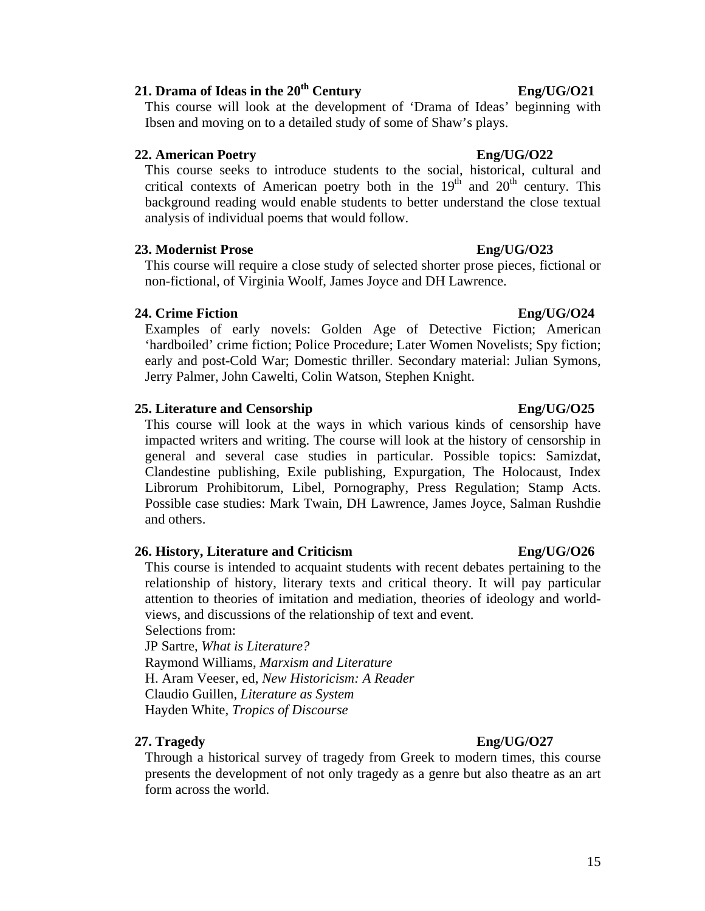# 21. **Drama of Ideas in the 20<sup>th</sup> Century Eng/UG/O21**

This course will look at the development of 'Drama of Ideas' beginning with Ibsen and moving on to a detailed study of some of Shaw's plays.

# **22. American Poetry Eng/UG/O22**

This course seeks to introduce students to the social, historical, cultural and critical contexts of American poetry both in the  $19<sup>th</sup>$  and  $20<sup>th</sup>$  century. This background reading would enable students to better understand the close textual analysis of individual poems that would follow.

# **23. Modernist Prose Eng/UG/O23**

This course will require a close study of selected shorter prose pieces, fictional or non-fictional, of Virginia Woolf, James Joyce and DH Lawrence.

# **24. Crime Fiction Eng/UG/O24**

Examples of early novels: Golden Age of Detective Fiction; American 'hardboiled' crime fiction; Police Procedure; Later Women Novelists; Spy fiction; early and post-Cold War; Domestic thriller. Secondary material: Julian Symons, Jerry Palmer, John Cawelti, Colin Watson, Stephen Knight.

# **25. Literature and Censorship Eng/UG/O25**

This course will look at the ways in which various kinds of censorship have impacted writers and writing. The course will look at the history of censorship in general and several case studies in particular. Possible topics: Samizdat, Clandestine publishing, Exile publishing, Expurgation, The Holocaust, Index Librorum Prohibitorum, Libel, Pornography, Press Regulation; Stamp Acts. Possible case studies: Mark Twain, DH Lawrence, James Joyce, Salman Rushdie and others.

# **26. History, Literature and Criticism Eng/UG/O26**

This course is intended to acquaint students with recent debates pertaining to the relationship of history, literary texts and critical theory. It will pay particular attention to theories of imitation and mediation, theories of ideology and worldviews, and discussions of the relationship of text and event.

Selections from: JP Sartre, *What is Literature?*  Raymond Williams, *Marxism and Literature*  H. Aram Veeser, ed, *New Historicism: A Reader*  Claudio Guillen, *Literature as System*  Hayden White, *Tropics of Discourse* 

# **27. Tragedy Eng/UG/O27**

Through a historical survey of tragedy from Greek to modern times, this course presents the development of not only tragedy as a genre but also theatre as an art form across the world.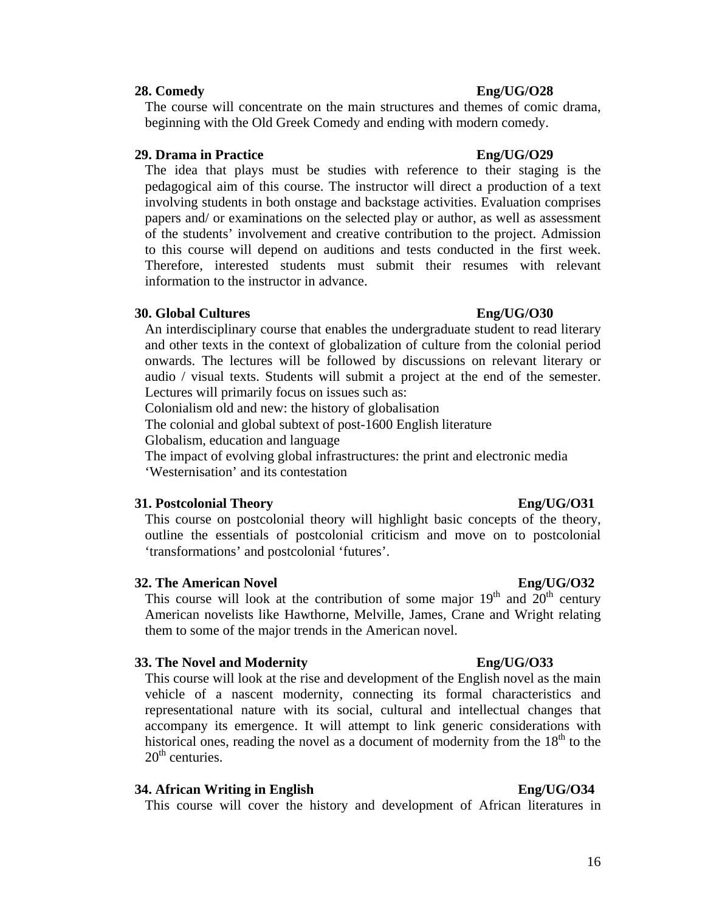### **28. Comedy Eng/UG/O28**

The course will concentrate on the main structures and themes of comic drama, beginning with the Old Greek Comedy and ending with modern comedy.

### **29. Drama in Practice Eng/UG/O29**

The idea that plays must be studies with reference to their staging is the pedagogical aim of this course. The instructor will direct a production of a text involving students in both onstage and backstage activities. Evaluation comprises papers and/ or examinations on the selected play or author, as well as assessment of the students' involvement and creative contribution to the project. Admission to this course will depend on auditions and tests conducted in the first week. Therefore, interested students must submit their resumes with relevant information to the instructor in advance.

### **30. Global Cultures Eng/UG/O30**

An interdisciplinary course that enables the undergraduate student to read literary and other texts in the context of globalization of culture from the colonial period onwards. The lectures will be followed by discussions on relevant literary or audio / visual texts. Students will submit a project at the end of the semester. Lectures will primarily focus on issues such as:

Colonialism old and new: the history of globalisation

The colonial and global subtext of post-1600 English literature

Globalism, education and language

The impact of evolving global infrastructures: the print and electronic media 'Westernisation' and its contestation

### **31. Postcolonial Theory Eng/UG/O31**

This course on postcolonial theory will highlight basic concepts of the theory, outline the essentials of postcolonial criticism and move on to postcolonial 'transformations' and postcolonial 'futures'.

### **32. The American Novel Eng/UG/O32**

This course will look at the contribution of some major  $19<sup>th</sup>$  and  $20<sup>th</sup>$  century American novelists like Hawthorne, Melville, James, Crane and Wright relating them to some of the major trends in the American novel.

### **33. The Novel and Modernity Eng/UG/O33**

This course will look at the rise and development of the English novel as the main vehicle of a nascent modernity, connecting its formal characteristics and representational nature with its social, cultural and intellectual changes that accompany its emergence. It will attempt to link generic considerations with historical ones, reading the novel as a document of modernity from the  $18<sup>th</sup>$  to the  $20<sup>th</sup>$  centuries.

### **34. African Writing in English Eng/UG/O34**

This course will cover the history and development of African literatures in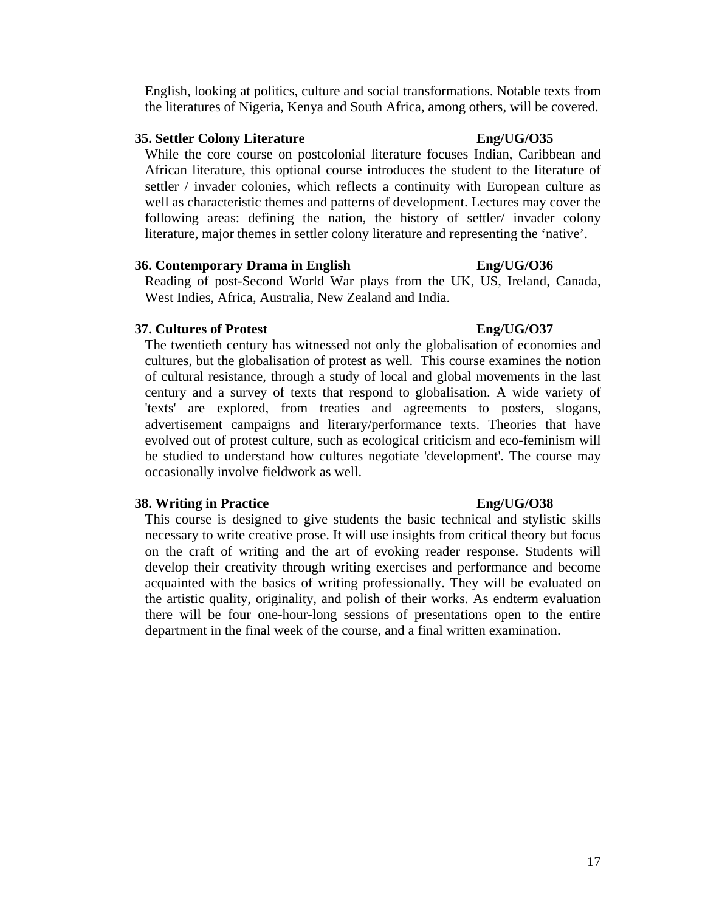English, looking at politics, culture and social transformations. Notable texts from the literatures of Nigeria, Kenya and South Africa, among others, will be covered.

### **35. Settler Colony Literature Eng/UG/O35**

While the core course on postcolonial literature focuses Indian, Caribbean and African literature, this optional course introduces the student to the literature of settler / invader colonies, which reflects a continuity with European culture as well as characteristic themes and patterns of development. Lectures may cover the following areas: defining the nation, the history of settler/ invader colony literature, major themes in settler colony literature and representing the 'native'.

### **36. Contemporary Drama in English Eng/UG/O36**

Reading of post-Second World War plays from the UK, US, Ireland, Canada, West Indies, Africa, Australia, New Zealand and India.

### **37. Cultures of Protest Eng/UG/O37**

The twentieth century has witnessed not only the globalisation of economies and cultures, but the globalisation of protest as well. This course examines the notion of cultural resistance, through a study of local and global movements in the last century and a survey of texts that respond to globalisation. A wide variety of 'texts' are explored, from treaties and agreements to posters, slogans, advertisement campaigns and literary/performance texts. Theories that have evolved out of protest culture, such as ecological criticism and eco-feminism will be studied to understand how cultures negotiate 'development'. The course may occasionally involve fieldwork as well.

### **38. Writing in Practice Eng/UG/O38**

This course is designed to give students the basic technical and stylistic skills necessary to write creative prose. It will use insights from critical theory but focus on the craft of writing and the art of evoking reader response. Students will develop their creativity through writing exercises and performance and become acquainted with the basics of writing professionally. They will be evaluated on the artistic quality, originality, and polish of their works. As endterm evaluation there will be four one-hour-long sessions of presentations open to the entire department in the final week of the course, and a final written examination.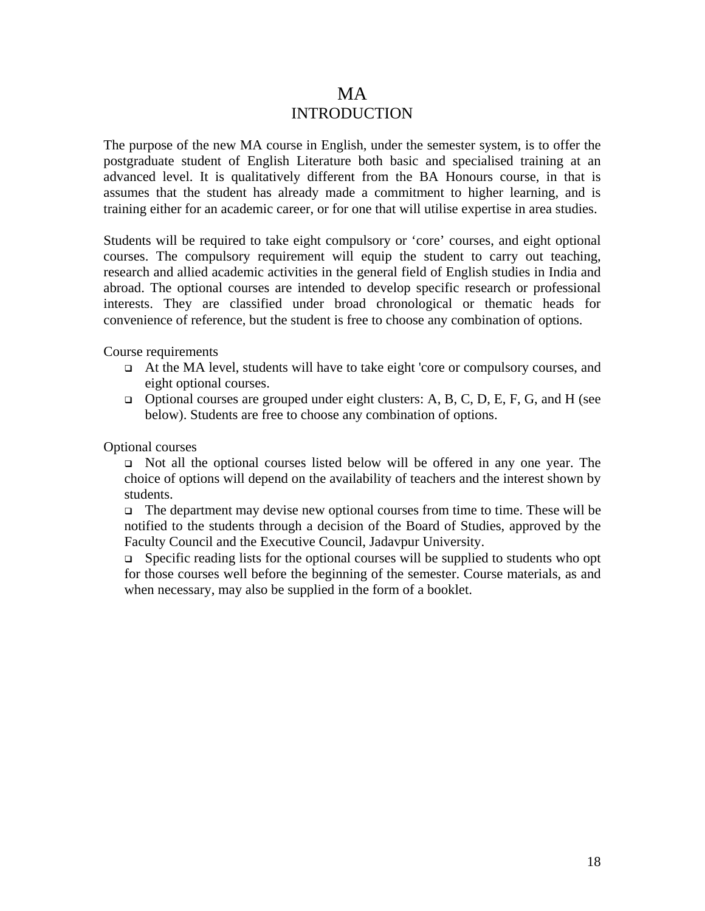# MA INTRODUCTION

The purpose of the new MA course in English, under the semester system, is to offer the postgraduate student of English Literature both basic and specialised training at an advanced level. It is qualitatively different from the BA Honours course, in that is assumes that the student has already made a commitment to higher learning, and is training either for an academic career, or for one that will utilise expertise in area studies.

Students will be required to take eight compulsory or 'core' courses, and eight optional courses. The compulsory requirement will equip the student to carry out teaching, research and allied academic activities in the general field of English studies in India and abroad. The optional courses are intended to develop specific research or professional interests. They are classified under broad chronological or thematic heads for convenience of reference, but the student is free to choose any combination of options.

Course requirements

- At the MA level, students will have to take eight 'core or compulsory courses, and eight optional courses.
- $\Box$  Optional courses are grouped under eight clusters: A, B, C, D, E, F, G, and H (see below). Students are free to choose any combination of options.

Optional courses

 Not all the optional courses listed below will be offered in any one year. The choice of options will depend on the availability of teachers and the interest shown by students.

 $\Box$  The department may devise new optional courses from time to time. These will be notified to the students through a decision of the Board of Studies, approved by the Faculty Council and the Executive Council, Jadavpur University.

 $\Box$  Specific reading lists for the optional courses will be supplied to students who opt for those courses well before the beginning of the semester. Course materials, as and when necessary, may also be supplied in the form of a booklet.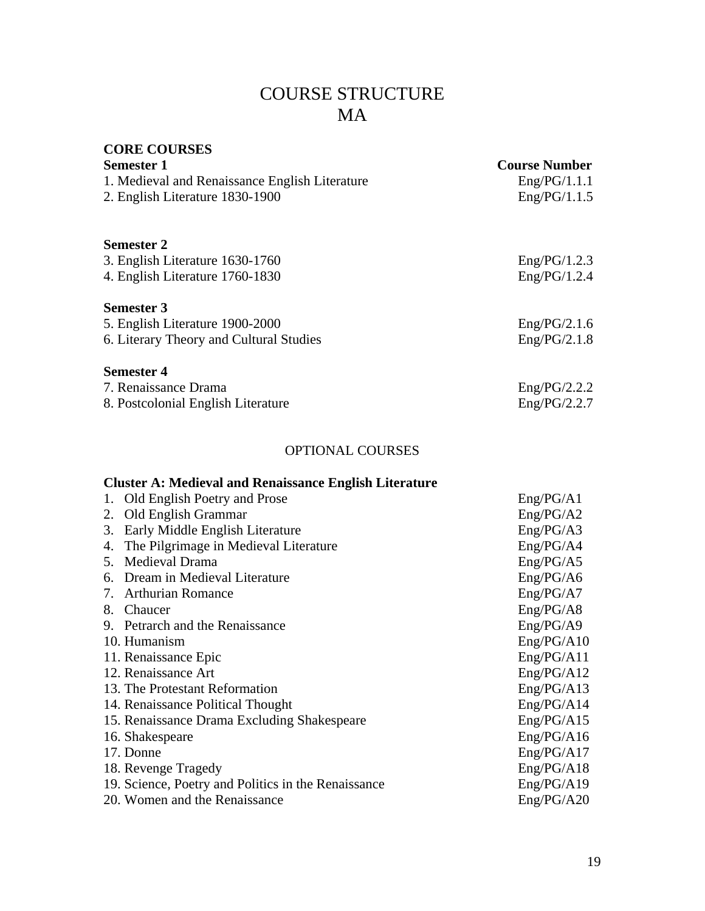# COURSE STRUCTURE MA

# **CORE COURSES Semester 1 Course Number**  1. Medieval and Renaissance English Literature Eng/PG/1.1.1 2. English Literature 1830-1900 **Semester 2**  3. English Literature 1630-1760 Eng/PG/1.2.3 4. English Literature 1760-1830 **Semester 3**  5. English Literature 1900-2000 Eng/PG/2.1.6 6. Literary Theory and Cultural Studies Eng/PG/2.1.8 **Semester 4**  7. Renaissance Drama Eng/PG/2.2.2 8. Postcolonial English Literature Eng/PG/2.2.7 OPTIONAL COURSES **Cluster A: Medieval and Renaissance English Literature**  1. Old English Poetry and Prose Eng/PG/A1 2. Old English Grammar Eng/PG/A2 3. Early Middle English Literature Eng/PG/A3 4. The Pilgrimage in Medieval Literature Eng/PG/A4 5. Medieval Drama Eng/PG/A5 6. Dream in Medieval Literature Eng/PG/A6 7. Arthurian Romance Eng/PG/A7 8. Chaucer Eng/PG/A8 9. Petrarch and the Renaissance Eng/PG/A9 10. Humanism Eng/PG/A10 11. Renaissance Epic Eng/PG/A11 12. Renaissance Art Eng/PG/A12 13. The Protestant Reformation Eng/PG/A13 14. Renaissance Political Thought Eng/PG/A14 15. Renaissance Drama Excluding Shakespeare Eng/PG/A15

16. Shakespeare Eng/PG/A16 17. Donne Eng/PG/A17 18. Revenge Tragedy Eng/PG/A18 19. Science, Poetry and Politics in the Renaissance Eng/PG/A19 20. Women and the Renaissance Eng/PG/A20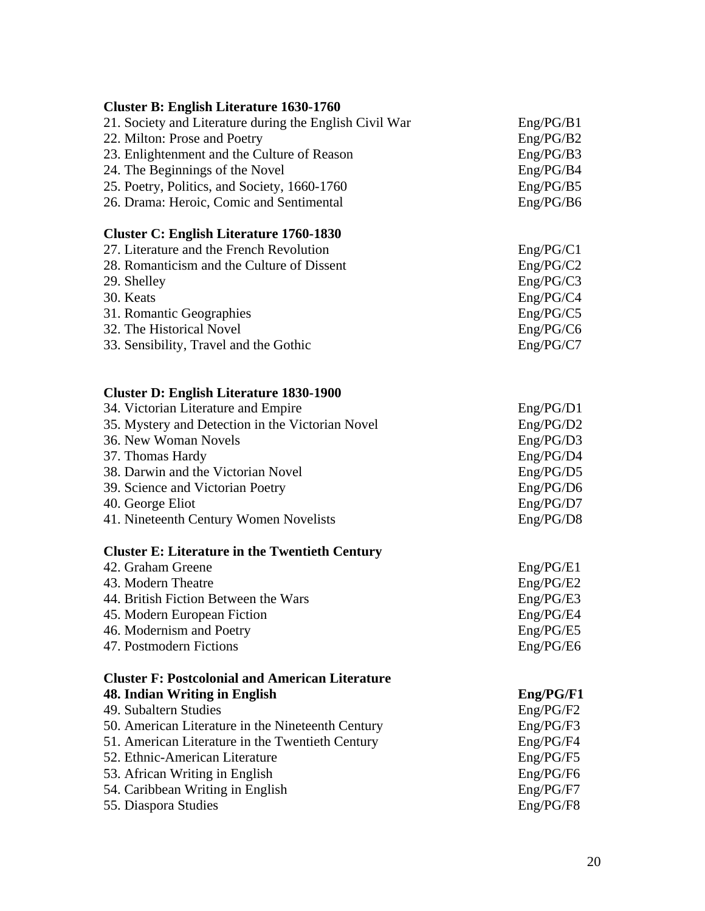| <b>Cluster B: English Literature 1630-1760</b>                     |                        |
|--------------------------------------------------------------------|------------------------|
| 21. Society and Literature during the English Civil War            | Eng/PG/B1              |
| 22. Milton: Prose and Poetry                                       | Eng/PG/B2              |
| 23. Enlightenment and the Culture of Reason                        | Eng/PG/B3              |
| 24. The Beginnings of the Novel                                    | Eng/PG/B4              |
| 25. Poetry, Politics, and Society, 1660-1760                       | Eng/PG/B5              |
| 26. Drama: Heroic, Comic and Sentimental                           | Eng/PG/B6              |
| <b>Cluster C: English Literature 1760-1830</b>                     |                        |
| 27. Literature and the French Revolution                           | Eng/PG/C1              |
| 28. Romanticism and the Culture of Dissent                         | Eng/PG/C2              |
| 29. Shelley                                                        | Eng/PG/C3              |
| 30. Keats                                                          | Eng/PG/C4              |
| 31. Romantic Geographies                                           | Eng/PG/C5              |
| 32. The Historical Novel                                           | Eng/PG/C6              |
| 33. Sensibility, Travel and the Gothic                             | Eng/PG/C7              |
| <b>Cluster D: English Literature 1830-1900</b>                     |                        |
| 34. Victorian Literature and Empire                                | Eng/PG/D1              |
| 35. Mystery and Detection in the Victorian Novel                   | Eng/PG/D2              |
| 36. New Woman Novels                                               | Eng/PG/D3              |
| 37. Thomas Hardy                                                   | Eng/PG/D4              |
| 38. Darwin and the Victorian Novel                                 | Eng/PG/D5              |
| 39. Science and Victorian Poetry                                   | Eng/PG/D6              |
| 40. George Eliot                                                   | Eng/PG/D7              |
| 41. Nineteenth Century Women Novelists                             | Eng/PG/D8              |
| <b>Cluster E: Literature in the Twentieth Century</b>              |                        |
| 42. Graham Greene                                                  | Eng/PG/E1              |
| 43. Modern Theatre                                                 | Eng/PG/E2              |
| 44. British Fiction Between the Wars                               | Eng/PG/E3              |
| 45. Modern European Fiction                                        | Eng/PG/E4              |
| 46. Modernism and Poetry                                           | Eng/PG/E5              |
| <b>47. Postmodern Fictions</b>                                     | Eng/PG/E6              |
| <b>Cluster F: Postcolonial and American Literature</b>             |                        |
| 48. Indian Writing in English                                      | Eng/PG/F1              |
| 49. Subaltern Studies                                              | Eng/PG/F2              |
| 50. American Literature in the Nineteenth Century                  | Eng/PG/F3              |
| 51. American Literature in the Twentieth Century                   | Eng/PG/F4              |
| 52. Ethnic-American Literature                                     | Eng/PG/F5              |
| 53. African Writing in English<br>54. Caribbean Writing in English | Eng/PG/F6<br>Eng/PG/F7 |
| 55. Diaspora Studies                                               | Eng/PG/F8              |
|                                                                    |                        |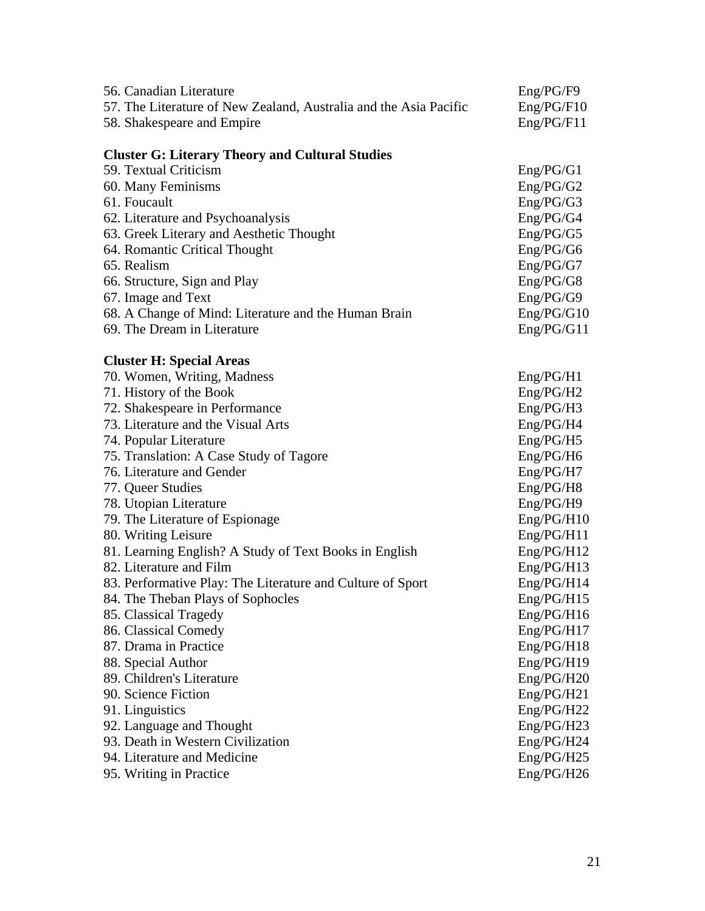| 56. Canadian Literature                                           | Eng/PG/F9  |
|-------------------------------------------------------------------|------------|
| 57. The Literature of New Zealand, Australia and the Asia Pacific | Eng/PG/F10 |
| 58. Shakespeare and Empire                                        | Eng/PG/F11 |
|                                                                   |            |
| <b>Cluster G: Literary Theory and Cultural Studies</b>            |            |
| 59. Textual Criticism                                             | Eng/PG/G1  |
| 60. Many Feminisms                                                | Eng/PG/G2  |
| 61. Foucault                                                      | Eng/PG/G3  |
| 62. Literature and Psychoanalysis                                 | Eng/PG/G4  |
| 63. Greek Literary and Aesthetic Thought                          | Eng/PG/G5  |
| 64. Romantic Critical Thought                                     | Eng/PG/G6  |
| 65. Realism                                                       | Eng/PG/G7  |
| 66. Structure, Sign and Play                                      | Eng/PG/G8  |
| 67. Image and Text                                                | Eng/PG/G9  |
| 68. A Change of Mind: Literature and the Human Brain              | Eng/PG/G10 |
| 69. The Dream in Literature                                       | Eng/PG/G11 |
|                                                                   |            |
| <b>Cluster H: Special Areas</b>                                   |            |
| 70. Women, Writing, Madness                                       | Eng/PG/H1  |
| 71. History of the Book                                           | Eng/PG/H2  |
| 72. Shakespeare in Performance                                    | Eng/PG/H3  |
| 73. Literature and the Visual Arts                                | Eng/PG/H4  |
| 74. Popular Literature                                            | Eng/PG/H5  |
| 75. Translation: A Case Study of Tagore                           | Eng/PG/H6  |
| 76. Literature and Gender                                         | Eng/PG/H7  |
| 77. Queer Studies                                                 | Eng/PG/H8  |
| 78. Utopian Literature                                            | Eng/PG/H9  |
| 79. The Literature of Espionage                                   | Eng/PG/H10 |
| 80. Writing Leisure                                               | Eng/PG/H11 |
| 81. Learning English? A Study of Text Books in English            | Eng/PG/H12 |
| 82. Literature and Film                                           | Eng/PG/H13 |
| 83. Performative Play: The Literature and Culture of Sport        | Eng/PG/H14 |
| 84. The Theban Plays of Sophocles                                 | Eng/PG/H15 |
| 85. Classical Tragedy                                             | Eng/PG/H16 |
| 86. Classical Comedy                                              | Eng/PG/H17 |
| 87. Drama in Practice                                             | Eng/PG/H18 |
| 88. Special Author                                                | Eng/PG/H19 |
| 89. Children's Literature                                         | Eng/PG/H20 |
| 90. Science Fiction                                               | Eng/PG/H21 |
| 91. Linguistics                                                   | Eng/PG/H22 |
| 92. Language and Thought                                          | Eng/PG/H23 |
| 93. Death in Western Civilization                                 | Eng/PG/H24 |
| 94. Literature and Medicine                                       | Eng/PG/H25 |
| 95. Writing in Practice                                           | Eng/PG/H26 |
|                                                                   |            |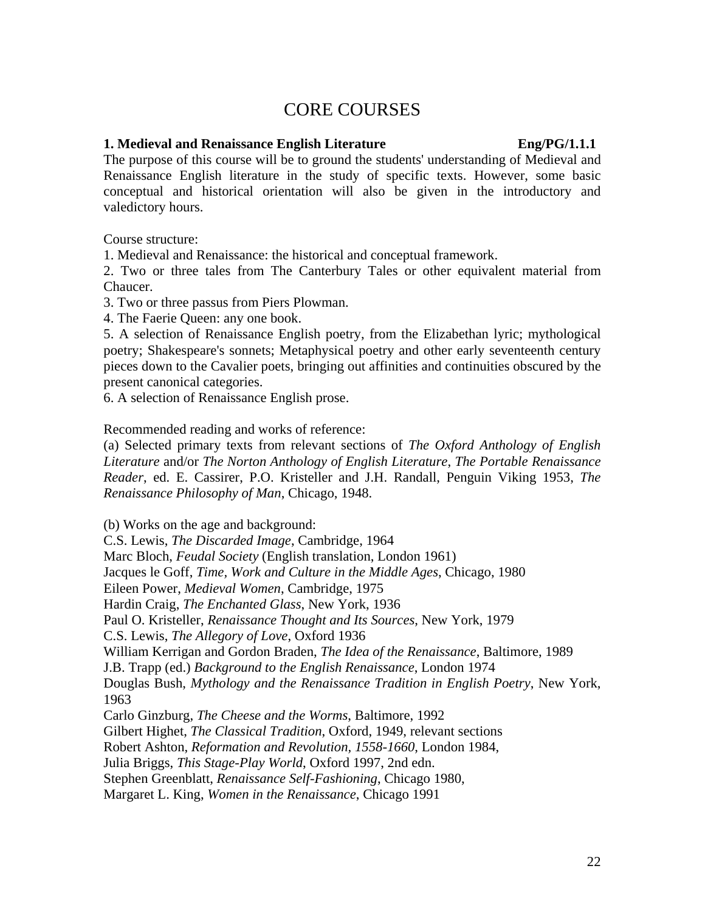# CORE COURSES

### **1. Medieval and Renaissance English Literature Eng/PG/1.1.1**

The purpose of this course will be to ground the students' understanding of Medieval and Renaissance English literature in the study of specific texts. However, some basic conceptual and historical orientation will also be given in the introductory and valedictory hours.

Course structure:

1. Medieval and Renaissance: the historical and conceptual framework.

2. Two or three tales from The Canterbury Tales or other equivalent material from Chaucer.

3. Two or three passus from Piers Plowman.

4. The Faerie Queen: any one book.

5. A selection of Renaissance English poetry, from the Elizabethan lyric; mythological poetry; Shakespeare's sonnets; Metaphysical poetry and other early seventeenth century pieces down to the Cavalier poets, bringing out affinities and continuities obscured by the present canonical categories.

6. A selection of Renaissance English prose.

Recommended reading and works of reference:

(a) Selected primary texts from relevant sections of *The Oxford Anthology of English Literature* and/or *The Norton Anthology of English Literature*, *The Portable Renaissance Reader*, ed. E. Cassirer, P.O. Kristeller and J.H. Randall, Penguin Viking 1953, *The Renaissance Philosophy of Man*, Chicago, 1948.

(b) Works on the age and background:

C.S. Lewis, *The Discarded Image*, Cambridge, 1964 Marc Bloch, *Feudal Society* (English translation, London 1961) Jacques le Goff, *Time, Work and Culture in the Middle Ages*, Chicago, 1980 Eileen Power, *Medieval Women*, Cambridge, 1975 Hardin Craig, *The Enchanted Glass*, New York, 1936 Paul O. Kristeller, *Renaissance Thought and Its Sources*, New York, 1979 C.S. Lewis, *The Allegory of Love*, Oxford 1936 William Kerrigan and Gordon Braden, *The Idea of the Renaissance*, Baltimore, 1989 J.B. Trapp (ed.) *Background to the English Renaissance*, London 1974 Douglas Bush, *Mythology and the Renaissance Tradition in English Poetry*, New York, 1963 Carlo Ginzburg, *The Cheese and the Worms*, Baltimore, 1992 Gilbert Highet, *The Classical Tradition*, Oxford, 1949, relevant sections Robert Ashton, *Reformation and Revolution, 1558-1660*, London 1984, Julia Briggs, *This Stage-Play World*, Oxford 1997, 2nd edn. Stephen Greenblatt, *Renaissance Self-Fashioning*, Chicago 1980, Margaret L. King, *Women in the Renaissance*, Chicago 1991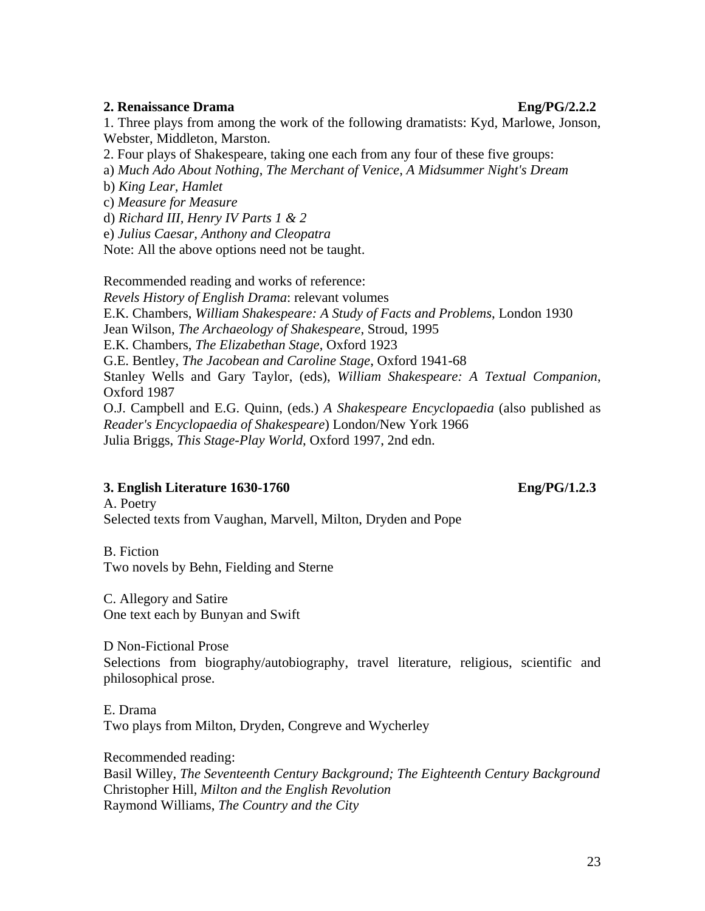### **2. Renaissance Drama** Eng/PG/2.2.2

1. Three plays from among the work of the following dramatists: Kyd, Marlowe, Jonson, Webster, Middleton, Marston.

2. Four plays of Shakespeare, taking one each from any four of these five groups:

a) *Much Ado About Nothing*, *The Merchant of Venice*, *A Midsummer Night's Dream*

b) *King Lear, Hamlet*

c) *Measure for Measure* 

d) *Richard III, Henry IV Parts 1 & 2*

e) *Julius Caesar, Anthony and Cleopatra* 

Note: All the above options need not be taught.

Recommended reading and works of reference: *Revels History of English Drama*: relevant volumes E.K. Chambers, *William Shakespeare: A Study of Facts and Problems*, London 1930 Jean Wilson, *The Archaeology of Shakespeare*, Stroud, 1995 E.K. Chambers, *The Elizabethan Stage*, Oxford 1923 G.E. Bentley, *The Jacobean and Caroline Stage*, Oxford 1941-68 Stanley Wells and Gary Taylor, (eds), *William Shakespeare: A Textual Companion*, Oxford 1987 O.J. Campbell and E.G. Quinn, (eds.) *A Shakespeare Encyclopaedia* (also published as *Reader's Encyclopaedia of Shakespeare*) London/New York 1966 Julia Briggs, *This Stage-Play World*, Oxford 1997, 2nd edn.

### **3. English Literature 1630-1760 Eng/PG/1.2.3**

A. Poetry Selected texts from Vaughan, Marvell, Milton, Dryden and Pope

B. Fiction Two novels by Behn, Fielding and Sterne

C. Allegory and Satire One text each by Bunyan and Swift

D Non-Fictional Prose

Selections from biography/autobiography, travel literature, religious, scientific and philosophical prose.

E. Drama Two plays from Milton, Dryden, Congreve and Wycherley

Recommended reading: Basil Willey, *The Seventeenth Century Background; The Eighteenth Century Background* Christopher Hill, *Milton and the English Revolution* Raymond Williams, *The Country and the City*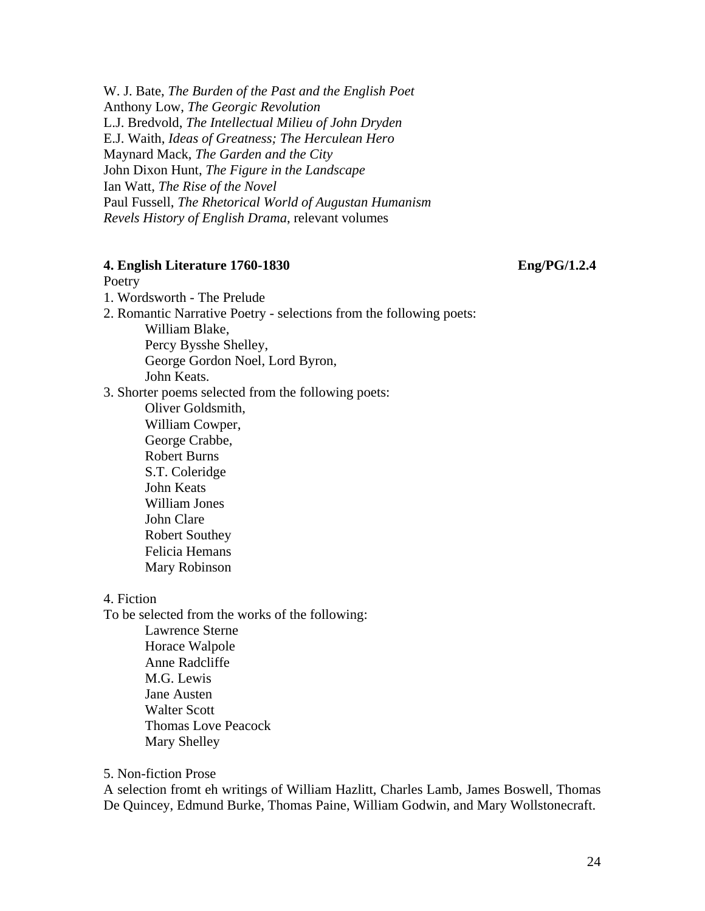W. J. Bate, *The Burden of the Past and the English Poet* Anthony Low, *The Georgic Revolution* L.J. Bredvold, *The Intellectual Milieu of John Dryden* E.J. Waith, *Ideas of Greatness; The Herculean Hero* Maynard Mack, *The Garden and the City* John Dixon Hunt, *The Figure in the Landscape* Ian Watt, *The Rise of the Novel* Paul Fussell, *The Rhetorical World of Augustan Humanism Revels History of English Drama*, relevant volumes

### **4. English Literature 1760-1830 Eng/PG/1.2.4**

### Poetry

1. Wordsworth - The Prelude

2. Romantic Narrative Poetry - selections from the following poets: William Blake,

Percy Bysshe Shelley, George Gordon Noel, Lord Byron, John Keats.

3. Shorter poems selected from the following poets:

Oliver Goldsmith, William Cowper, George Crabbe, Robert Burns S.T. Coleridge John Keats William Jones John Clare Robert Southey Felicia Hemans Mary Robinson

4. Fiction

To be selected from the works of the following: Lawrence Sterne Horace Walpole Anne Radcliffe M.G. Lewis Jane Austen Walter Scott Thomas Love Peacock Mary Shelley

5. Non-fiction Prose

A selection fromt eh writings of William Hazlitt, Charles Lamb, James Boswell, Thomas De Quincey, Edmund Burke, Thomas Paine, William Godwin, and Mary Wollstonecraft.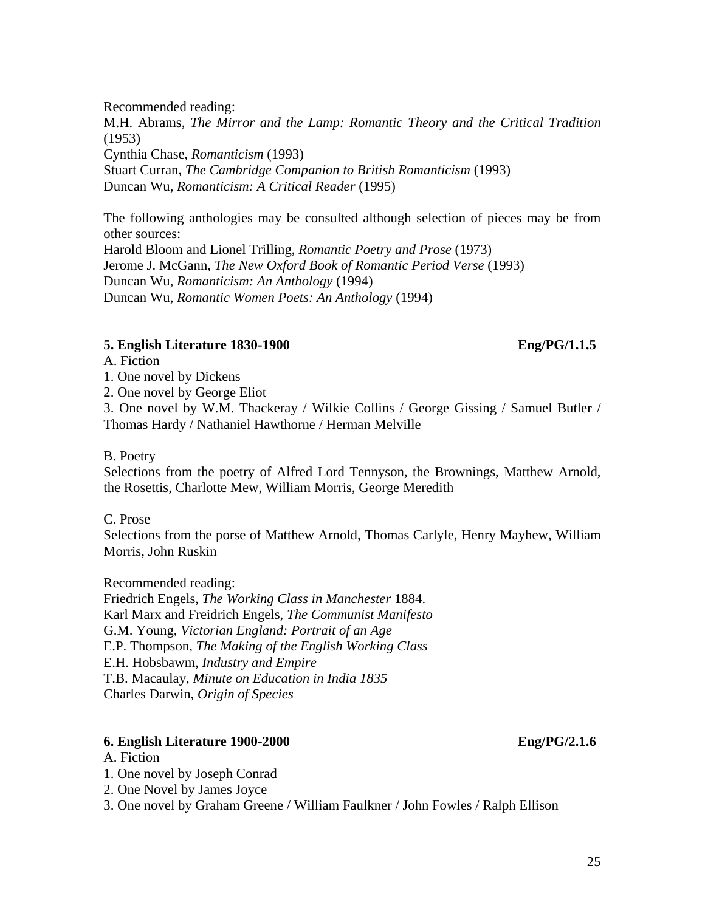Recommended reading:

M.H. Abrams, *The Mirror and the Lamp: Romantic Theory and the Critical Tradition* (1953) Cynthia Chase, *Romanticism* (1993) Stuart Curran, *The Cambridge Companion to British Romanticism* (1993) Duncan Wu, *Romanticism: A Critical Reader* (1995)

The following anthologies may be consulted although selection of pieces may be from other sources: Harold Bloom and Lionel Trilling, *Romantic Poetry and Prose* (1973) Jerome J. McGann, *The New Oxford Book of Romantic Period Verse* (1993) Duncan Wu, *Romanticism: An Anthology* (1994) Duncan Wu, *Romantic Women Poets: An Anthology* (1994)

### **5. English Literature 1830-1900 Eng/PG/1.1.5**

A. Fiction

1. One novel by Dickens

2. One novel by George Eliot

3. One novel by W.M. Thackeray / Wilkie Collins / George Gissing / Samuel Butler / Thomas Hardy / Nathaniel Hawthorne / Herman Melville

### B. Poetry

Selections from the poetry of Alfred Lord Tennyson, the Brownings, Matthew Arnold, the Rosettis, Charlotte Mew, William Morris, George Meredith

### C. Prose

Selections from the porse of Matthew Arnold, Thomas Carlyle, Henry Mayhew, William Morris, John Ruskin

Recommended reading:

Friedrich Engels, *The Working Class in Manchester* 1884. Karl Marx and Freidrich Engels, *The Communist Manifesto* G.M. Young, *Victorian England: Portrait of an Age* E.P. Thompson, *The Making of the English Working Class* E.H. Hobsbawm, *Industry and Empire*  T.B. Macaulay, *Minute on Education in India 1835* Charles Darwin, *Origin of Species*

### **6. English Literature 1900-2000 Eng/PG/2.1.6**

### A. Fiction

1. One novel by Joseph Conrad

2. One Novel by James Joyce

3. One novel by Graham Greene / William Faulkner / John Fowles / Ralph Ellison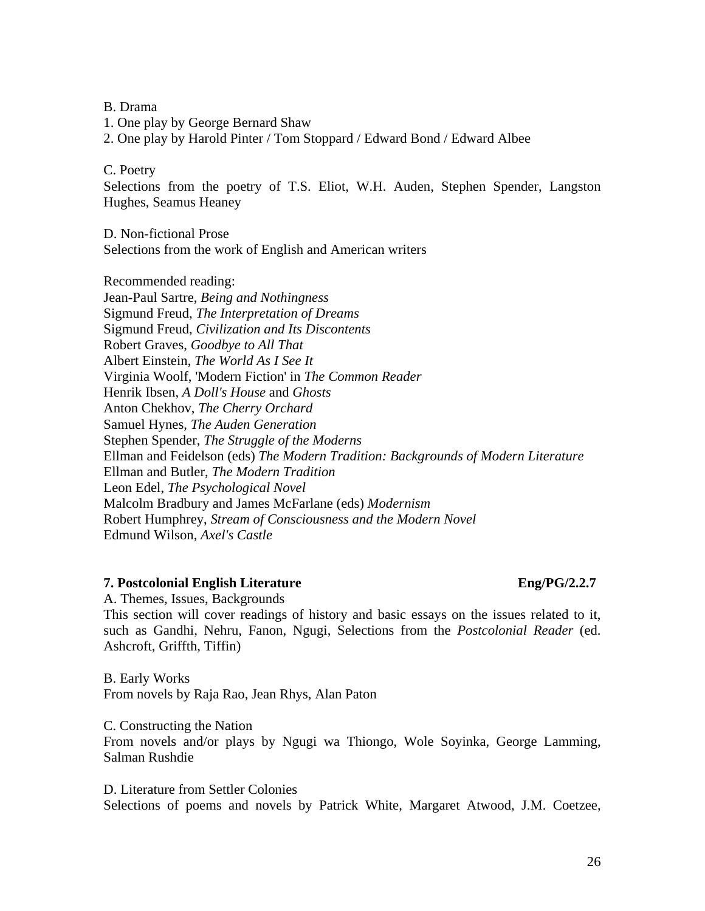B. Drama

- 1. One play by George Bernard Shaw
- 2. One play by Harold Pinter / Tom Stoppard / Edward Bond / Edward Albee
- C. Poetry

Selections from the poetry of T.S. Eliot, W.H. Auden, Stephen Spender, Langston Hughes, Seamus Heaney

D. Non-fictional Prose Selections from the work of English and American writers

Recommended reading: Jean-Paul Sartre, *Being and Nothingness* Sigmund Freud, *The Interpretation of Dreams* Sigmund Freud, *Civilization and Its Discontents* Robert Graves, *Goodbye to All That* Albert Einstein, *The World As I See It* Virginia Woolf, 'Modern Fiction' in *The Common Reader* Henrik Ibsen, *A Doll's House* and *Ghosts* Anton Chekhov, *The Cherry Orchard* Samuel Hynes, *The Auden Generation* Stephen Spender, *The Struggle of the Moderns* Ellman and Feidelson (eds) *The Modern Tradition: Backgrounds of Modern Literature*  Ellman and Butler, *The Modern Tradition* Leon Edel, *The Psychological Novel* Malcolm Bradbury and James McFarlane (eds) *Modernism* Robert Humphrey, *Stream of Consciousness and the Modern Novel*  Edmund Wilson, *Axel's Castle*

### **7. Postcolonial English Literature Eng/PG/2.2.7**

A. Themes, Issues, Backgrounds

This section will cover readings of history and basic essays on the issues related to it, such as Gandhi, Nehru, Fanon, Ngugi, Selections from the *Postcolonial Reader* (ed. Ashcroft, Griffth, Tiffin)

B. Early Works From novels by Raja Rao, Jean Rhys, Alan Paton

C. Constructing the Nation From novels and/or plays by Ngugi wa Thiongo, Wole Soyinka, George Lamming, Salman Rushdie

D. Literature from Settler Colonies Selections of poems and novels by Patrick White, Margaret Atwood, J.M. Coetzee,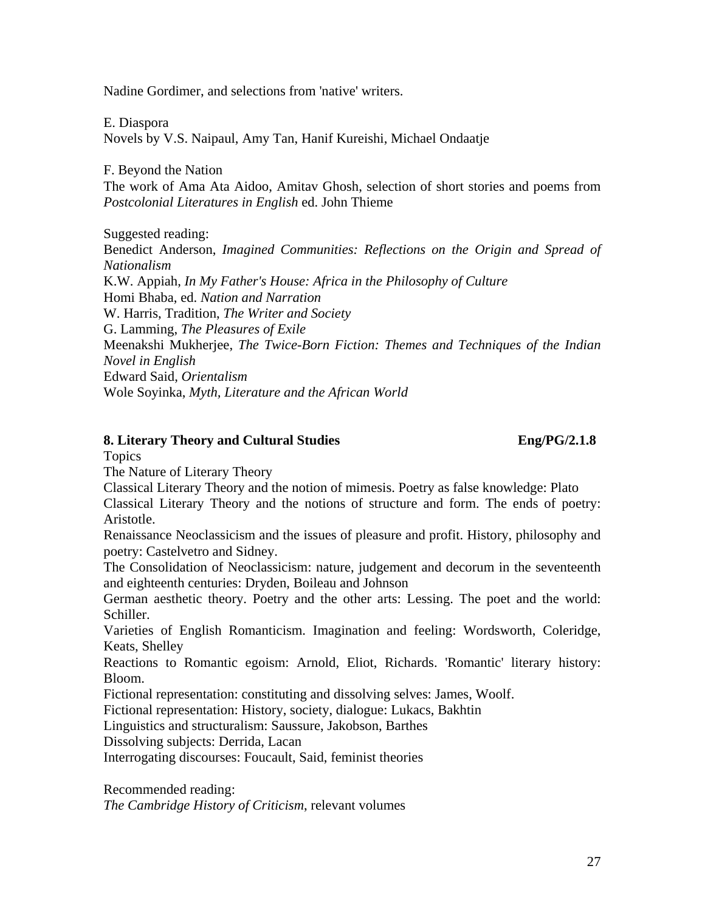Nadine Gordimer, and selections from 'native' writers.

E. Diaspora Novels by V.S. Naipaul, Amy Tan, Hanif Kureishi, Michael Ondaatje

F. Beyond the Nation

The work of Ama Ata Aidoo, Amitav Ghosh, selection of short stories and poems from *Postcolonial Literatures in English* ed. John Thieme

Suggested reading:

Benedict Anderson, *Imagined Communities: Reflections on the Origin and Spread of Nationalism* K.W. Appiah, *In My Father's House: Africa in the Philosophy of Culture* Homi Bhaba, ed. *Nation and Narration* W. Harris, Tradition, *The Writer and Society* G. Lamming, *The Pleasures of Exile* Meenakshi Mukherjee, *The Twice-Born Fiction: Themes and Techniques of the Indian* 

*Novel in English*

Edward Said, *Orientalism* 

Wole Soyinka, *Myth, Literature and the African World* 

### **8. Literary Theory and Cultural Studies Eng/PG/2.1.8**

Topics

The Nature of Literary Theory

Classical Literary Theory and the notion of mimesis. Poetry as false knowledge: Plato Classical Literary Theory and the notions of structure and form. The ends of poetry: Aristotle.

Renaissance Neoclassicism and the issues of pleasure and profit. History, philosophy and poetry: Castelvetro and Sidney.

The Consolidation of Neoclassicism: nature, judgement and decorum in the seventeenth and eighteenth centuries: Dryden, Boileau and Johnson

German aesthetic theory. Poetry and the other arts: Lessing. The poet and the world: Schiller.

Varieties of English Romanticism. Imagination and feeling: Wordsworth, Coleridge, Keats, Shelley

Reactions to Romantic egoism: Arnold, Eliot, Richards. 'Romantic' literary history: Bloom.

Fictional representation: constituting and dissolving selves: James, Woolf.

Fictional representation: History, society, dialogue: Lukacs, Bakhtin

Linguistics and structuralism: Saussure, Jakobson, Barthes

Dissolving subjects: Derrida, Lacan

Interrogating discourses: Foucault, Said, feminist theories

Recommended reading:

*The Cambridge History of Criticism*, relevant volumes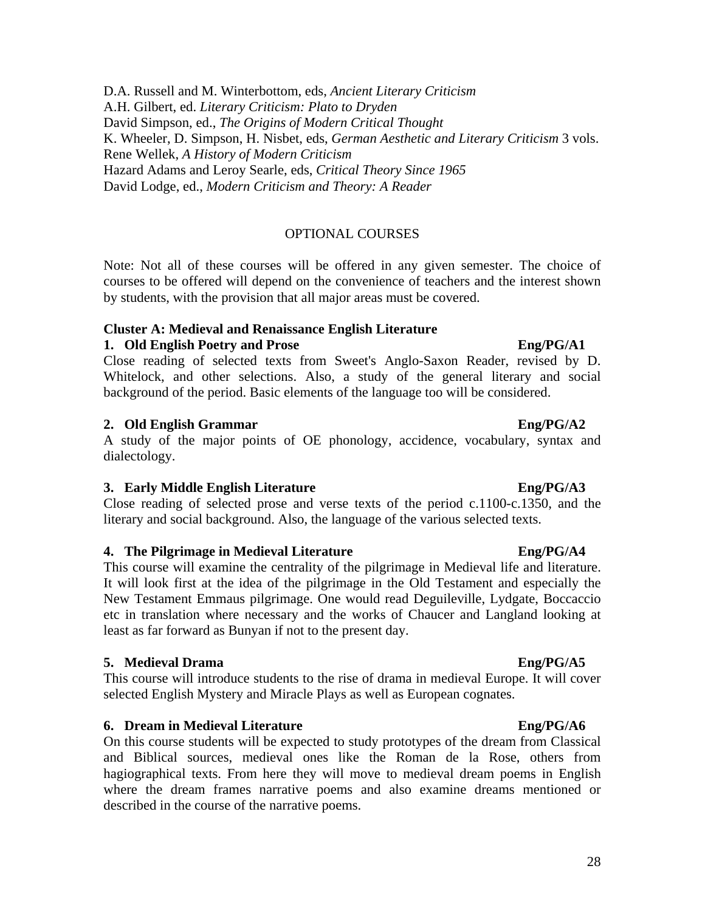D.A. Russell and M. Winterbottom, eds, *Ancient Literary Criticism* A.H. Gilbert, ed. *Literary Criticism: Plato to Dryden* David Simpson, ed., *The Origins of Modern Critical Thought* K. Wheeler, D. Simpson, H. Nisbet, eds, *German Aesthetic and Literary Criticism* 3 vols. Rene Wellek, *A History of Modern Criticism* Hazard Adams and Leroy Searle, eds, *Critical Theory Since 1965*  David Lodge, ed., *Modern Criticism and Theory: A Reader*

### OPTIONAL COURSES

Note: Not all of these courses will be offered in any given semester. The choice of courses to be offered will depend on the convenience of teachers and the interest shown by students, with the provision that all major areas must be covered.

### **Cluster A: Medieval and Renaissance English Literature**

### **1.** Old English Poetry and Prose English English English English English English English English English English English English English English English English English English English English English English English Engl

Close reading of selected texts from Sweet's Anglo-Saxon Reader, revised by D. Whitelock, and other selections. Also, a study of the general literary and social background of the period. Basic elements of the language too will be considered.

### **2. Old English Grammar Eng/PG/A2**

A study of the major points of OE phonology, accidence, vocabulary, syntax and dialectology.

### **3. Early Middle English Literature Eng/PG/A3**

Close reading of selected prose and verse texts of the period c.1100-c.1350, and the literary and social background. Also, the language of the various selected texts.

### **4. The Pilgrimage in Medieval Literature Eng/PG/A4**

This course will examine the centrality of the pilgrimage in Medieval life and literature. It will look first at the idea of the pilgrimage in the Old Testament and especially the New Testament Emmaus pilgrimage. One would read Deguileville, Lydgate, Boccaccio etc in translation where necessary and the works of Chaucer and Langland looking at least as far forward as Bunyan if not to the present day.

### **5. Medieval Drama Eng/PG/A5**

This course will introduce students to the rise of drama in medieval Europe. It will cover selected English Mystery and Miracle Plays as well as European cognates.

### **6. Dream in Medieval Literature Eng/PG/A6**

On this course students will be expected to study prototypes of the dream from Classical and Biblical sources, medieval ones like the Roman de la Rose, others from hagiographical texts. From here they will move to medieval dream poems in English where the dream frames narrative poems and also examine dreams mentioned or described in the course of the narrative poems.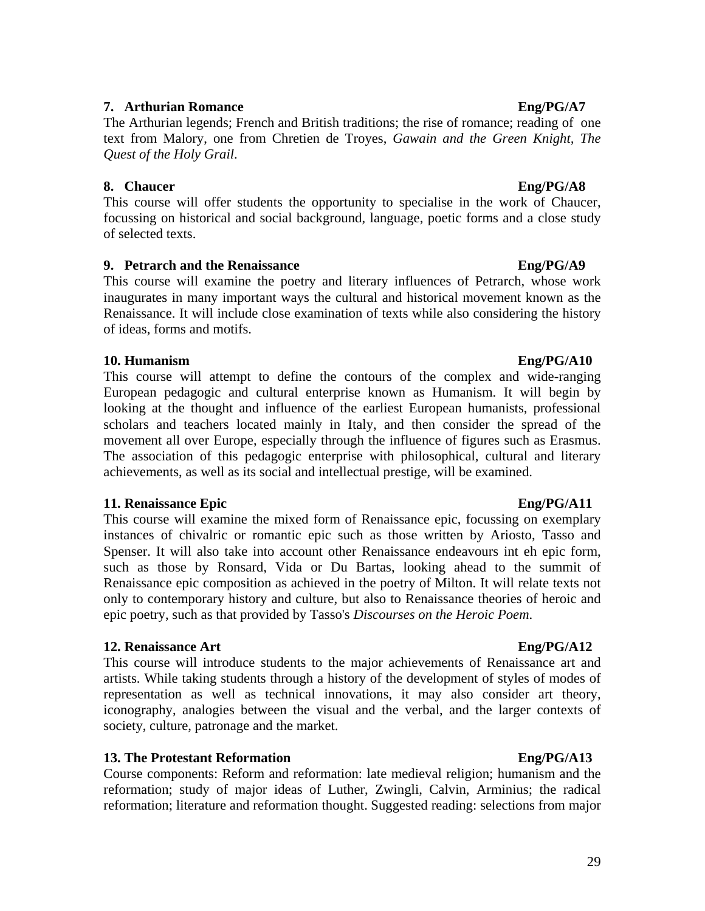### 29

### **7. Arthurian Romance** Eng/PG/A7

The Arthurian legends; French and British traditions; the rise of romance; reading of one text from Malory, one from Chretien de Troyes, *Gawain and the Green Knight, The Quest of the Holy Grail*.

### **8. Chaucer Eng/PG/A8**

This course will offer students the opportunity to specialise in the work of Chaucer, focussing on historical and social background, language, poetic forms and a close study of selected texts.

## **9. Petrarch and the Renaissance Eng/PG/A9**

This course will examine the poetry and literary influences of Petrarch, whose work inaugurates in many important ways the cultural and historical movement known as the Renaissance. It will include close examination of texts while also considering the history of ideas, forms and motifs.

## **10. Humanism Eng/PG/A10**

This course will attempt to define the contours of the complex and wide-ranging European pedagogic and cultural enterprise known as Humanism. It will begin by looking at the thought and influence of the earliest European humanists, professional scholars and teachers located mainly in Italy, and then consider the spread of the movement all over Europe, especially through the influence of figures such as Erasmus. The association of this pedagogic enterprise with philosophical, cultural and literary achievements, as well as its social and intellectual prestige, will be examined.

### **11.** Renaissance Epic English English English English English English English English English English English English English English English English English English English English English English English English English

This course will examine the mixed form of Renaissance epic, focussing on exemplary instances of chivalric or romantic epic such as those written by Ariosto, Tasso and Spenser. It will also take into account other Renaissance endeavours int eh epic form, such as those by Ronsard, Vida or Du Bartas, looking ahead to the summit of Renaissance epic composition as achieved in the poetry of Milton. It will relate texts not only to contemporary history and culture, but also to Renaissance theories of heroic and epic poetry, such as that provided by Tasso's *Discourses on the Heroic Poem*.

### **12.** Renaissance Art **Eng/PG/A12**

This course will introduce students to the major achievements of Renaissance art and artists. While taking students through a history of the development of styles of modes of representation as well as technical innovations, it may also consider art theory, iconography, analogies between the visual and the verbal, and the larger contexts of society, culture, patronage and the market.

### **13. The Protestant Reformation Eng/PG/A13**

Course components: Reform and reformation: late medieval religion; humanism and the reformation; study of major ideas of Luther, Zwingli, Calvin, Arminius; the radical reformation; literature and reformation thought. Suggested reading: selections from major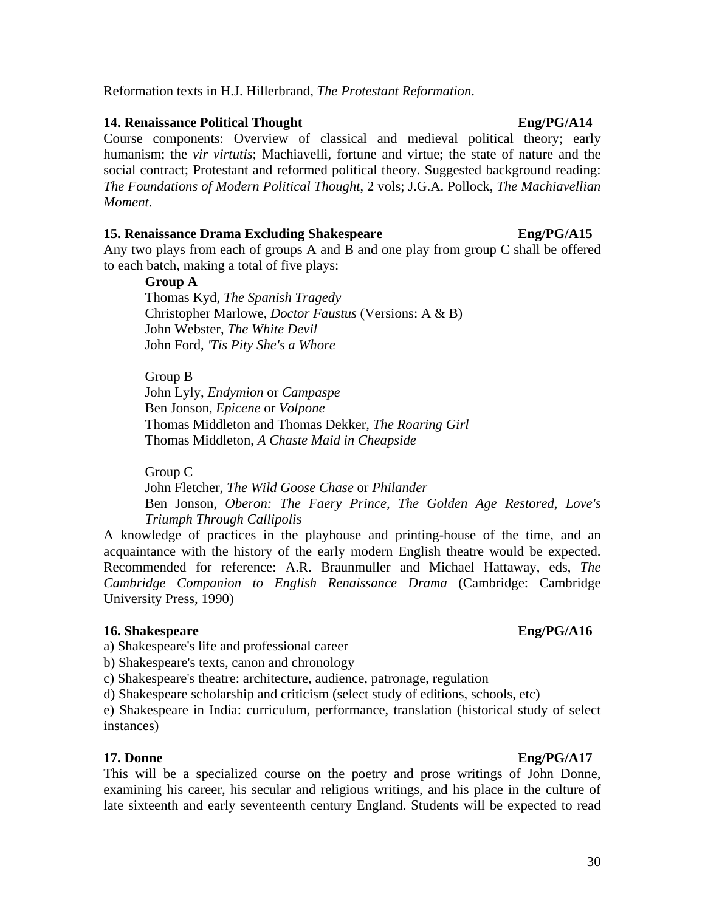## Reformation texts in H.J. Hillerbrand, *The Protestant Reformation*.

## **14. Renaissance Political Thought Eng/PG/A14**

Course components: Overview of classical and medieval political theory; early humanism; the *vir virtutis*; Machiavelli, fortune and virtue; the state of nature and the social contract; Protestant and reformed political theory. Suggested background reading: *The Foundations of Modern Political Thought*, 2 vols; J.G.A. Pollock, *The Machiavellian Moment*.

### **15. Renaissance Drama Excluding Shakespeare Eng/PG/A15**

Any two plays from each of groups A and B and one play from group C shall be offered to each batch, making a total of five plays:

### **Group A**

Thomas Kyd, *The Spanish Tragedy* Christopher Marlowe, *Doctor Faustus* (Versions: A & B) John Webster, *The White Devil* John Ford, *'Tis Pity She's a Whore*

Group B John Lyly, *Endymion* or *Campaspe* Ben Jonson, *Epicene* or *Volpone* Thomas Middleton and Thomas Dekker, *The Roaring Girl*  Thomas Middleton, *A Chaste Maid in Cheapside*

Group C John Fletcher, *The Wild Goose Chase* or *Philander* Ben Jonson, *Oberon: The Faery Prince, The Golden Age Restored, Love's Triumph Through Callipolis*

A knowledge of practices in the playhouse and printing-house of the time, and an acquaintance with the history of the early modern English theatre would be expected. Recommended for reference: A.R. Braunmuller and Michael Hattaway, eds, *The Cambridge Companion to English Renaissance Drama* (Cambridge: Cambridge University Press, 1990)

### **16. Shakespeare Eng/PG/A16**

a) Shakespeare's life and professional career

b) Shakespeare's texts, canon and chronology

c) Shakespeare's theatre: architecture, audience, patronage, regulation

d) Shakespeare scholarship and criticism (select study of editions, schools, etc)

e) Shakespeare in India: curriculum, performance, translation (historical study of select instances)

### **17. Donne Eng/PG/A17**

This will be a specialized course on the poetry and prose writings of John Donne, examining his career, his secular and religious writings, and his place in the culture of late sixteenth and early seventeenth century England. Students will be expected to read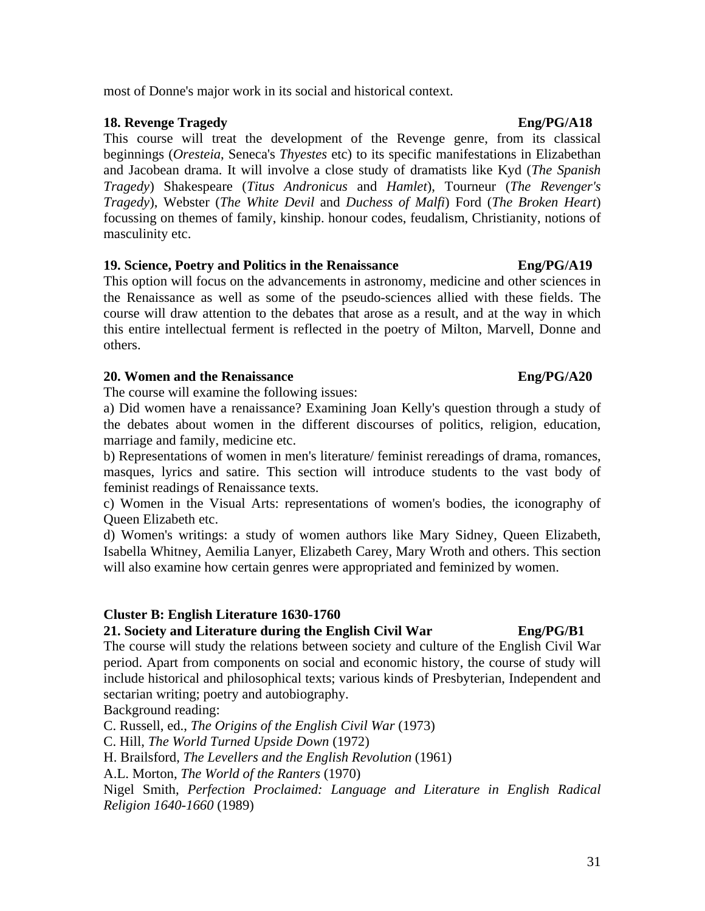### most of Donne's major work in its social and historical context.

### **18. Revenge Tragedy Eng/PG/A18**

This course will treat the development of the Revenge genre, from its classical beginnings (*Oresteia*, Seneca's *Thyestes* etc) to its specific manifestations in Elizabethan and Jacobean drama. It will involve a close study of dramatists like Kyd (*The Spanish Tragedy*) Shakespeare (*Titus Andronicus* and *Hamlet*), Tourneur (*The Revenger's Tragedy*), Webster (*The White Devil* and *Duchess of Malfi*) Ford (*The Broken Heart*) focussing on themes of family, kinship. honour codes, feudalism, Christianity, notions of masculinity etc.

## **19. Science, Poetry and Politics in the Renaissance Eng/PG/A19**

This option will focus on the advancements in astronomy, medicine and other sciences in the Renaissance as well as some of the pseudo-sciences allied with these fields. The course will draw attention to the debates that arose as a result, and at the way in which this entire intellectual ferment is reflected in the poetry of Milton, Marvell, Donne and others.

### **20. Women and the Renaissance Eng/PG/A20**

The course will examine the following issues:

a) Did women have a renaissance? Examining Joan Kelly's question through a study of the debates about women in the different discourses of politics, religion, education, marriage and family, medicine etc.

b) Representations of women in men's literature/ feminist rereadings of drama, romances, masques, lyrics and satire. This section will introduce students to the vast body of feminist readings of Renaissance texts.

c) Women in the Visual Arts: representations of women's bodies, the iconography of Queen Elizabeth etc.

d) Women's writings: a study of women authors like Mary Sidney, Queen Elizabeth, Isabella Whitney, Aemilia Lanyer, Elizabeth Carey, Mary Wroth and others. This section will also examine how certain genres were appropriated and feminized by women.

### **Cluster B: English Literature 1630-1760**

## **21. Society and Literature during the English Civil War Eng/PG/B1**

The course will study the relations between society and culture of the English Civil War period. Apart from components on social and economic history, the course of study will include historical and philosophical texts; various kinds of Presbyterian, Independent and sectarian writing; poetry and autobiography.

Background reading:

C. Russell, ed., *The Origins of the English Civil War* (1973)

C. Hill, *The World Turned Upside Down* (1972)

H. Brailsford, *The Levellers and the English Revolution* (1961)

A.L. Morton, *The World of the Ranters* (1970)

Nigel Smith, *Perfection Proclaimed: Language and Literature in English Radical Religion 1640-1660* (1989)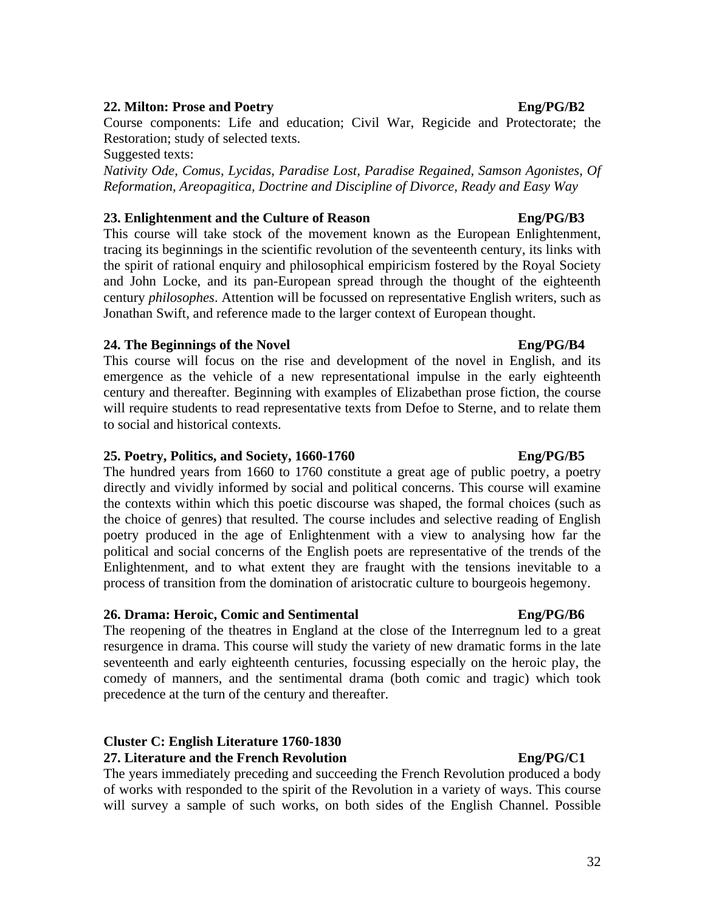### **22. Milton: Prose and Poetry Eng/PG/B2**

Course components: Life and education; Civil War, Regicide and Protectorate; the Restoration; study of selected texts.

Suggested texts:

*Nativity Ode, Comus, Lycidas, Paradise Lost, Paradise Regained, Samson Agonistes, Of Reformation, Areopagitica, Doctrine and Discipline of Divorce, Ready and Easy Way* 

### **23. Enlightenment and the Culture of Reason Eng/PG/B3**

This course will take stock of the movement known as the European Enlightenment, tracing its beginnings in the scientific revolution of the seventeenth century, its links with the spirit of rational enquiry and philosophical empiricism fostered by the Royal Society and John Locke, and its pan-European spread through the thought of the eighteenth century *philosophes*. Attention will be focussed on representative English writers, such as Jonathan Swift, and reference made to the larger context of European thought.

## **24.** The Beginnings of the Novel **Englerical Englerical Englerical Englerical Englerical Englerical Englerical Englerical Englerical Englerical Englerical Englerical Englerical Englerical Englerical Englerical Englerical**

This course will focus on the rise and development of the novel in English, and its emergence as the vehicle of a new representational impulse in the early eighteenth century and thereafter. Beginning with examples of Elizabethan prose fiction, the course will require students to read representative texts from Defoe to Sterne, and to relate them to social and historical contexts.

### **25. Poetry, Politics, and Society, 1660-1760 Eng/PG/B5**

The hundred years from 1660 to 1760 constitute a great age of public poetry, a poetry directly and vividly informed by social and political concerns. This course will examine the contexts within which this poetic discourse was shaped, the formal choices (such as the choice of genres) that resulted. The course includes and selective reading of English poetry produced in the age of Enlightenment with a view to analysing how far the political and social concerns of the English poets are representative of the trends of the Enlightenment, and to what extent they are fraught with the tensions inevitable to a process of transition from the domination of aristocratic culture to bourgeois hegemony.

## **26. Drama: Heroic, Comic and Sentimental Eng/PG/B6**

The reopening of the theatres in England at the close of the Interregnum led to a great resurgence in drama. This course will study the variety of new dramatic forms in the late seventeenth and early eighteenth centuries, focussing especially on the heroic play, the comedy of manners, and the sentimental drama (both comic and tragic) which took precedence at the turn of the century and thereafter.

# **Cluster C: English Literature 1760-1830**

**27. Literature and the French Revolution Eng/PG/C1**  The years immediately preceding and succeeding the French Revolution produced a body of works with responded to the spirit of the Revolution in a variety of ways. This course will survey a sample of such works, on both sides of the English Channel. Possible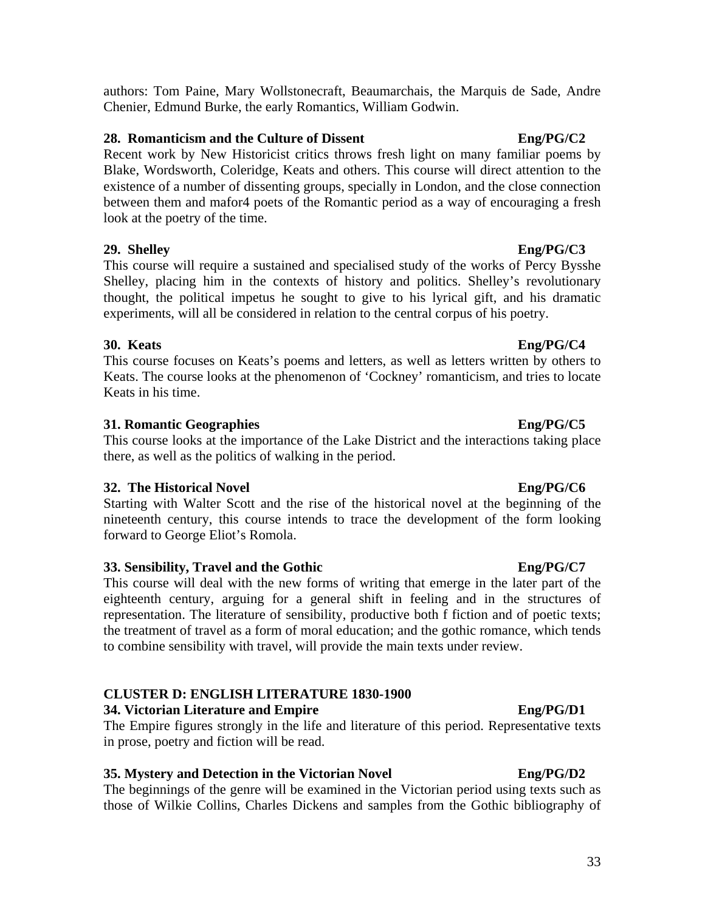### authors: Tom Paine, Mary Wollstonecraft, Beaumarchais, the Marquis de Sade, Andre Chenier, Edmund Burke, the early Romantics, William Godwin.

### **28. Romanticism and the Culture of Dissent Eng/PG/C2**

Recent work by New Historicist critics throws fresh light on many familiar poems by Blake, Wordsworth, Coleridge, Keats and others. This course will direct attention to the existence of a number of dissenting groups, specially in London, and the close connection between them and mafor4 poets of the Romantic period as a way of encouraging a fresh look at the poetry of the time.

### **29. Shelley Eng/PG/C3**

This course will require a sustained and specialised study of the works of Percy Bysshe Shelley, placing him in the contexts of history and politics. Shelley's revolutionary thought, the political impetus he sought to give to his lyrical gift, and his dramatic experiments, will all be considered in relation to the central corpus of his poetry.

## **30. Keats Eng/PG/C4**

This course focuses on Keats's poems and letters, as well as letters written by others to Keats. The course looks at the phenomenon of 'Cockney' romanticism, and tries to locate Keats in his time.

## **31. Romantic Geographies Eng/PG/C5**

This course looks at the importance of the Lake District and the interactions taking place there, as well as the politics of walking in the period.

## **32. The Historical Novel Eng/PG/C6**

Starting with Walter Scott and the rise of the historical novel at the beginning of the nineteenth century, this course intends to trace the development of the form looking forward to George Eliot's Romola.

## **33. Sensibility, Travel and the Gothic Eng/PG/C7**

This course will deal with the new forms of writing that emerge in the later part of the eighteenth century, arguing for a general shift in feeling and in the structures of representation. The literature of sensibility, productive both f fiction and of poetic texts; the treatment of travel as a form of moral education; and the gothic romance, which tends to combine sensibility with travel, will provide the main texts under review.

# **CLUSTER D: ENGLISH LITERATURE 1830-1900**

## **34. Victorian Literature and Empire Eng/PG/D1**

The Empire figures strongly in the life and literature of this period. Representative texts in prose, poetry and fiction will be read.

# **35. Mystery and Detection in the Victorian Novel Eng/PG/D2**

The beginnings of the genre will be examined in the Victorian period using texts such as those of Wilkie Collins, Charles Dickens and samples from the Gothic bibliography of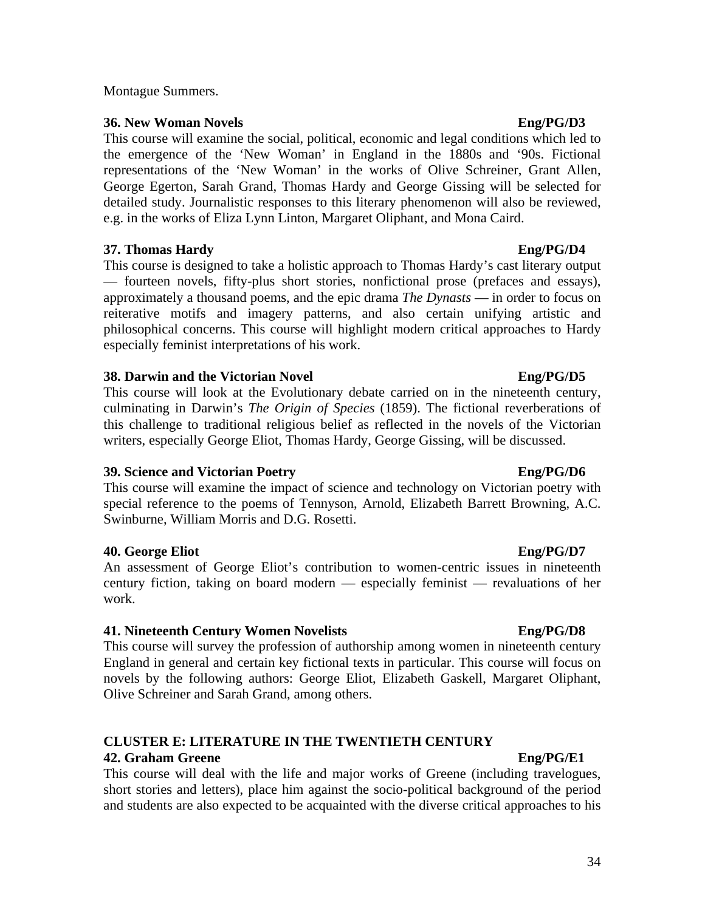### Montague Summers.

### **36. New Woman Novels Eng/PG/D3**

This course will examine the social, political, economic and legal conditions which led to the emergence of the 'New Woman' in England in the 1880s and '90s. Fictional representations of the 'New Woman' in the works of Olive Schreiner, Grant Allen, George Egerton, Sarah Grand, Thomas Hardy and George Gissing will be selected for detailed study. Journalistic responses to this literary phenomenon will also be reviewed, e.g. in the works of Eliza Lynn Linton, Margaret Oliphant, and Mona Caird.

### **37. Thomas Hardy Eng/PG/D4**

This course is designed to take a holistic approach to Thomas Hardy's cast literary output — fourteen novels, fifty-plus short stories, nonfictional prose (prefaces and essays), approximately a thousand poems, and the epic drama *The Dynasts* — in order to focus on reiterative motifs and imagery patterns, and also certain unifying artistic and philosophical concerns. This course will highlight modern critical approaches to Hardy especially feminist interpretations of his work.

### **38. Darwin and the Victorian Novel**  Eng/PG/D5

This course will look at the Evolutionary debate carried on in the nineteenth century, culminating in Darwin's *The Origin of Species* (1859). The fictional reverberations of this challenge to traditional religious belief as reflected in the novels of the Victorian writers, especially George Eliot, Thomas Hardy, George Gissing, will be discussed.

### **39. Science and Victorian Poetry Eng/PG/D6**

This course will examine the impact of science and technology on Victorian poetry with special reference to the poems of Tennyson, Arnold, Elizabeth Barrett Browning, A.C. Swinburne, William Morris and D.G. Rosetti.

### **40. George Eliot Eng/PG/D7**

An assessment of George Eliot's contribution to women-centric issues in nineteenth century fiction, taking on board modern — especially feminist — revaluations of her work.

### **41. Nineteenth Century Women Novelists Eng/PG/D8**

This course will survey the profession of authorship among women in nineteenth century England in general and certain key fictional texts in particular. This course will focus on novels by the following authors: George Eliot, Elizabeth Gaskell, Margaret Oliphant, Olive Schreiner and Sarah Grand, among others.

## **CLUSTER E: LITERATURE IN THE TWENTIETH CENTURY**

### **42. Graham Greene** English English English English English English English English English English English English English English English English English English English English English English English English English En

This course will deal with the life and major works of Greene (including travelogues, short stories and letters), place him against the socio-political background of the period and students are also expected to be acquainted with the diverse critical approaches to his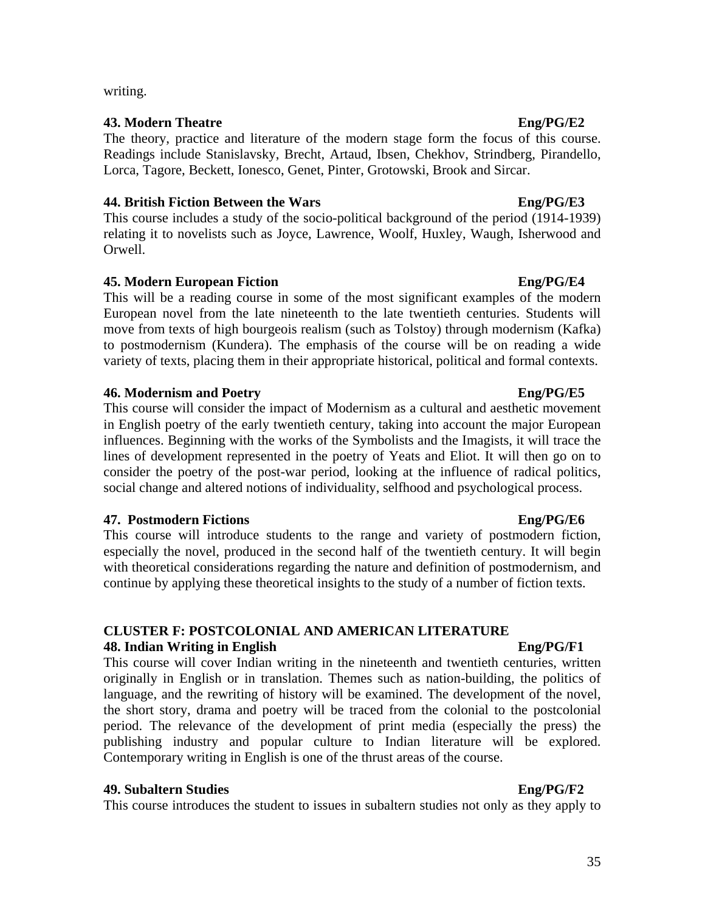writing.

### **43. Modern Theatre Eng/PG/E2**

The theory, practice and literature of the modern stage form the focus of this course. Readings include Stanislavsky, Brecht, Artaud, Ibsen, Chekhov, Strindberg, Pirandello, Lorca, Tagore, Beckett, Ionesco, Genet, Pinter, Grotowski, Brook and Sircar.

### **44. British Fiction Between the Wars Eng/PG/E3**

This course includes a study of the socio-political background of the period (1914-1939) relating it to novelists such as Joyce, Lawrence, Woolf, Huxley, Waugh, Isherwood and Orwell.

### **45. Modern European Fiction Eng/PG/E4**

This will be a reading course in some of the most significant examples of the modern European novel from the late nineteenth to the late twentieth centuries. Students will move from texts of high bourgeois realism (such as Tolstoy) through modernism (Kafka) to postmodernism (Kundera). The emphasis of the course will be on reading a wide variety of texts, placing them in their appropriate historical, political and formal contexts.

### **46. Modernism and Poetry Eng/PG/E5**

This course will consider the impact of Modernism as a cultural and aesthetic movement in English poetry of the early twentieth century, taking into account the major European influences. Beginning with the works of the Symbolists and the Imagists, it will trace the lines of development represented in the poetry of Yeats and Eliot. It will then go on to consider the poetry of the post-war period, looking at the influence of radical politics, social change and altered notions of individuality, selfhood and psychological process.

### **47. Postmodern Fictions Eng/PG/E6**

This course will introduce students to the range and variety of postmodern fiction, especially the novel, produced in the second half of the twentieth century. It will begin with theoretical considerations regarding the nature and definition of postmodernism, and continue by applying these theoretical insights to the study of a number of fiction texts.

# **CLUSTER F: POSTCOLONIAL AND AMERICAN LITERATURE**

### **48. Indian Writing in English Eng/PG/F1**

This course will cover Indian writing in the nineteenth and twentieth centuries, written originally in English or in translation. Themes such as nation-building, the politics of language, and the rewriting of history will be examined. The development of the novel, the short story, drama and poetry will be traced from the colonial to the postcolonial period. The relevance of the development of print media (especially the press) the publishing industry and popular culture to Indian literature will be explored. Contemporary writing in English is one of the thrust areas of the course.

### **49. Subaltern Studies Eng/PG/F2**

This course introduces the student to issues in subaltern studies not only as they apply to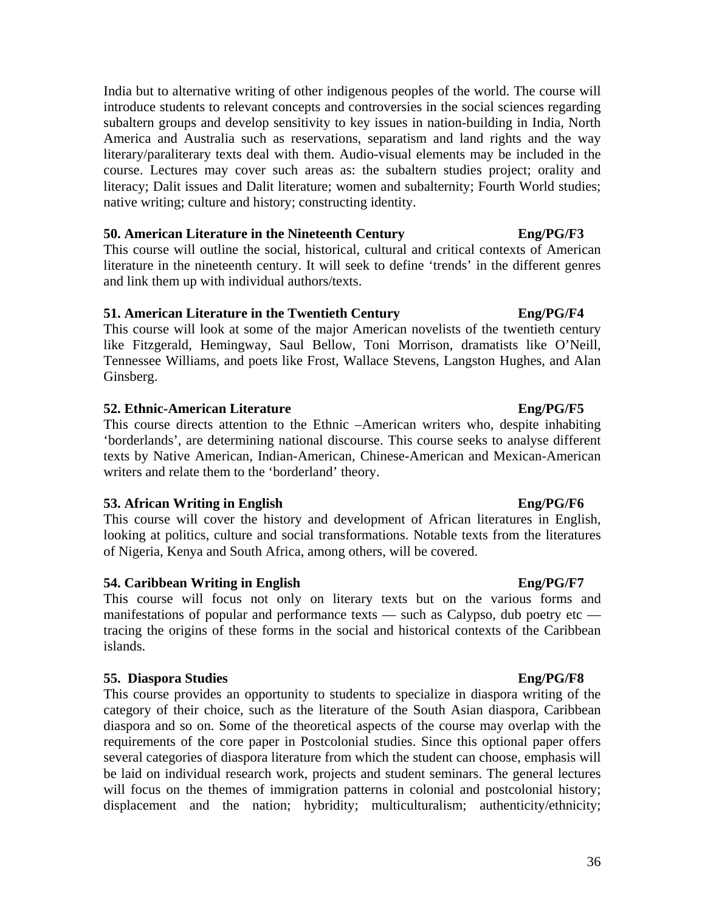India but to alternative writing of other indigenous peoples of the world. The course will introduce students to relevant concepts and controversies in the social sciences regarding subaltern groups and develop sensitivity to key issues in nation-building in India, North America and Australia such as reservations, separatism and land rights and the way literary/paraliterary texts deal with them. Audio-visual elements may be included in the course. Lectures may cover such areas as: the subaltern studies project; orality and literacy; Dalit issues and Dalit literature; women and subalternity; Fourth World studies; native writing; culture and history; constructing identity.

### **50. American Literature in the Nineteenth Century Eng/PG/F3**

This course will outline the social, historical, cultural and critical contexts of American literature in the nineteenth century. It will seek to define 'trends' in the different genres and link them up with individual authors/texts.

### **51. American Literature in the Twentieth Century Eng/PG/F4**

This course will look at some of the major American novelists of the twentieth century like Fitzgerald, Hemingway, Saul Bellow, Toni Morrison, dramatists like O'Neill, Tennessee Williams, and poets like Frost, Wallace Stevens, Langston Hughes, and Alan Ginsberg.

### **52. Ethnic-American Literature Eng/PG/F5**

This course directs attention to the Ethnic –American writers who, despite inhabiting 'borderlands', are determining national discourse. This course seeks to analyse different texts by Native American, Indian-American, Chinese-American and Mexican-American writers and relate them to the 'borderland' theory.

### **53. African Writing in English Eng/PG/F6**

This course will cover the history and development of African literatures in English, looking at politics, culture and social transformations. Notable texts from the literatures of Nigeria, Kenya and South Africa, among others, will be covered.

### **54. Caribbean Writing in English Eng/PG/F7**

This course will focus not only on literary texts but on the various forms and manifestations of popular and performance texts — such as Calypso, dub poetry etc tracing the origins of these forms in the social and historical contexts of the Caribbean islands.

### **55. Diaspora Studies Eng/PG/F8**

This course provides an opportunity to students to specialize in diaspora writing of the category of their choice, such as the literature of the South Asian diaspora, Caribbean diaspora and so on. Some of the theoretical aspects of the course may overlap with the requirements of the core paper in Postcolonial studies. Since this optional paper offers several categories of diaspora literature from which the student can choose, emphasis will be laid on individual research work, projects and student seminars. The general lectures will focus on the themes of immigration patterns in colonial and postcolonial history; displacement and the nation; hybridity; multiculturalism; authenticity/ethnicity;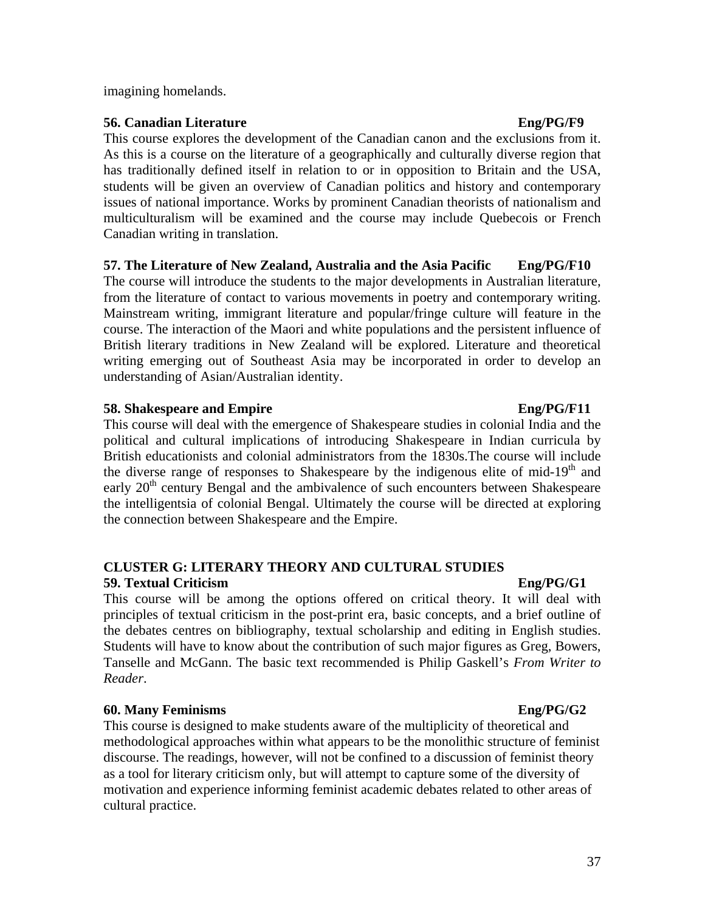### imagining homelands.

### **56. Canadian Literature Eng/PG/F9**

This course explores the development of the Canadian canon and the exclusions from it. As this is a course on the literature of a geographically and culturally diverse region that has traditionally defined itself in relation to or in opposition to Britain and the USA, students will be given an overview of Canadian politics and history and contemporary issues of national importance. Works by prominent Canadian theorists of nationalism and multiculturalism will be examined and the course may include Quebecois or French Canadian writing in translation.

## **57. The Literature of New Zealand, Australia and the Asia Pacific Eng/PG/F10**

The course will introduce the students to the major developments in Australian literature, from the literature of contact to various movements in poetry and contemporary writing. Mainstream writing, immigrant literature and popular/fringe culture will feature in the course. The interaction of the Maori and white populations and the persistent influence of British literary traditions in New Zealand will be explored. Literature and theoretical writing emerging out of Southeast Asia may be incorporated in order to develop an understanding of Asian/Australian identity.

### **58.** Shakespeare and Empire Englished Englished Englished Englished Englished Englished Englished Englished Englished Englished Englished Englished Englished Englished Englished Englished Englished Englished Englished Eng

This course will deal with the emergence of Shakespeare studies in colonial India and the political and cultural implications of introducing Shakespeare in Indian curricula by British educationists and colonial administrators from the 1830s.The course will include the diverse range of responses to Shakespeare by the indigenous elite of mid-19<sup>th</sup> and early  $20<sup>th</sup>$  century Bengal and the ambivalence of such encounters between Shakespeare the intelligentsia of colonial Bengal. Ultimately the course will be directed at exploring the connection between Shakespeare and the Empire.

### **CLUSTER G: LITERARY THEORY AND CULTURAL STUDIES 59. Textual Criticism Eng/PG/G1**

This course will be among the options offered on critical theory. It will deal with principles of textual criticism in the post-print era, basic concepts, and a brief outline of the debates centres on bibliography, textual scholarship and editing in English studies. Students will have to know about the contribution of such major figures as Greg, Bowers, Tanselle and McGann. The basic text recommended is Philip Gaskell's *From Writer to Reader*.

### **60. Many Feminisms Eng/PG/G2**

This course is designed to make students aware of the multiplicity of theoretical and methodological approaches within what appears to be the monolithic structure of feminist discourse. The readings, however, will not be confined to a discussion of feminist theory as a tool for literary criticism only, but will attempt to capture some of the diversity of motivation and experience informing feminist academic debates related to other areas of cultural practice.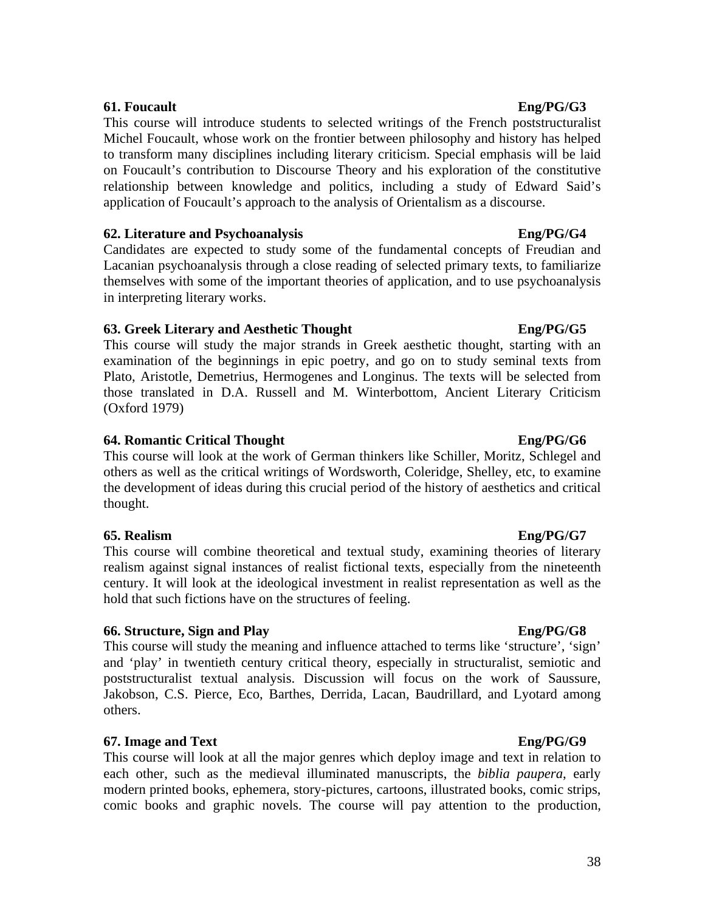### **61. Foucault Eng/PG/G3**

This course will introduce students to selected writings of the French poststructuralist Michel Foucault, whose work on the frontier between philosophy and history has helped to transform many disciplines including literary criticism. Special emphasis will be laid on Foucault's contribution to Discourse Theory and his exploration of the constitutive relationship between knowledge and politics, including a study of Edward Said's application of Foucault's approach to the analysis of Orientalism as a discourse.

### **62. Literature and Psychoanalysis Eng/PG/G4**

Candidates are expected to study some of the fundamental concepts of Freudian and Lacanian psychoanalysis through a close reading of selected primary texts, to familiarize themselves with some of the important theories of application, and to use psychoanalysis in interpreting literary works.

## **63. Greek Literary and Aesthetic Thought Eng/PG/G5**

This course will study the major strands in Greek aesthetic thought, starting with an examination of the beginnings in epic poetry, and go on to study seminal texts from Plato, Aristotle, Demetrius, Hermogenes and Longinus. The texts will be selected from those translated in D.A. Russell and M. Winterbottom, Ancient Literary Criticism (Oxford 1979)

## **64. Romantic Critical Thought Eng/PG/G6**

This course will look at the work of German thinkers like Schiller, Moritz, Schlegel and others as well as the critical writings of Wordsworth, Coleridge, Shelley, etc, to examine the development of ideas during this crucial period of the history of aesthetics and critical thought.

### **65. Realism Eng/PG/G7**

This course will combine theoretical and textual study, examining theories of literary realism against signal instances of realist fictional texts, especially from the nineteenth century. It will look at the ideological investment in realist representation as well as the hold that such fictions have on the structures of feeling.

### **66. Structure, Sign and Play Eng/PG/G8**

This course will study the meaning and influence attached to terms like 'structure', 'sign' and 'play' in twentieth century critical theory, especially in structuralist, semiotic and poststructuralist textual analysis. Discussion will focus on the work of Saussure, Jakobson, C.S. Pierce, Eco, Barthes, Derrida, Lacan, Baudrillard, and Lyotard among others.

## **67. Image and Text Eng/PG/G9**

This course will look at all the major genres which deploy image and text in relation to each other, such as the medieval illuminated manuscripts, the *biblia paupera*, early modern printed books, ephemera, story-pictures, cartoons, illustrated books, comic strips, comic books and graphic novels. The course will pay attention to the production,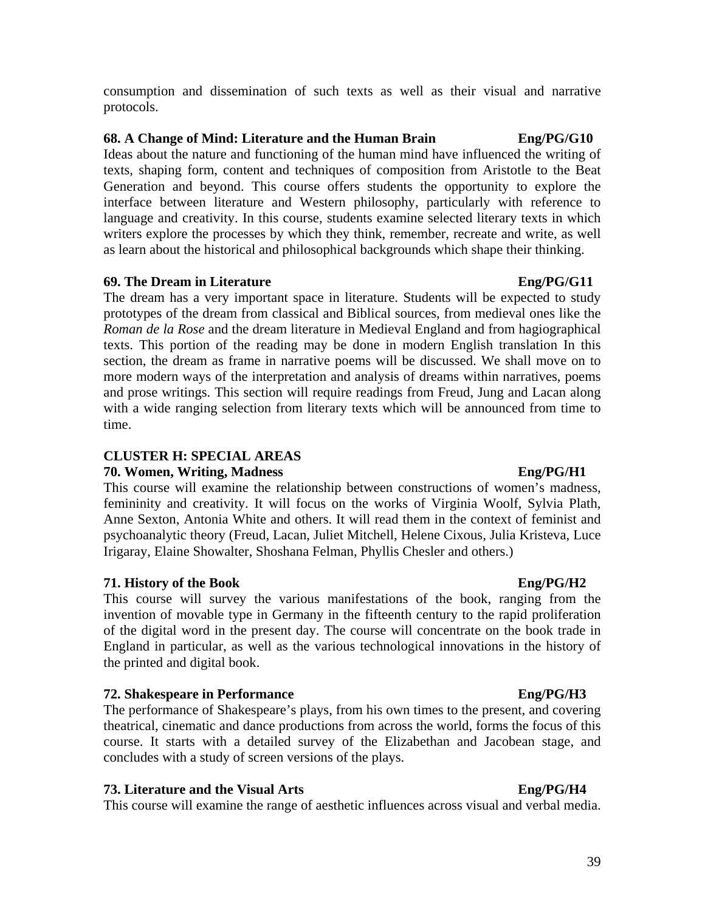consumption and dissemination of such texts as well as their visual and narrative protocols.

### **68. A Change of Mind: Literature and the Human Brain Eng/PG/G10**

Ideas about the nature and functioning of the human mind have influenced the writing of texts, shaping form, content and techniques of composition from Aristotle to the Beat Generation and beyond. This course offers students the opportunity to explore the interface between literature and Western philosophy, particularly with reference to language and creativity. In this course, students examine selected literary texts in which writers explore the processes by which they think, remember, recreate and write, as well as learn about the historical and philosophical backgrounds which shape their thinking.

## **69. The Dream in Literature Eng/PG/G11**

The dream has a very important space in literature. Students will be expected to study prototypes of the dream from classical and Biblical sources, from medieval ones like the *Roman de la Rose* and the dream literature in Medieval England and from hagiographical texts. This portion of the reading may be done in modern English translation In this section, the dream as frame in narrative poems will be discussed. We shall move on to more modern ways of the interpretation and analysis of dreams within narratives, poems and prose writings. This section will require readings from Freud, Jung and Lacan along with a wide ranging selection from literary texts which will be announced from time to time.

## **CLUSTER H: SPECIAL AREAS**

## **70. Women, Writing, Madness Eng/PG/H1**

This course will examine the relationship between constructions of women's madness, femininity and creativity. It will focus on the works of Virginia Woolf, Sylvia Plath, Anne Sexton, Antonia White and others. It will read them in the context of feminist and psychoanalytic theory (Freud, Lacan, Juliet Mitchell, Helene Cixous, Julia Kristeva, Luce Irigaray, Elaine Showalter, Shoshana Felman, Phyllis Chesler and others.)

## **71. History of the Book Eng/PG/H2**

This course will survey the various manifestations of the book, ranging from the invention of movable type in Germany in the fifteenth century to the rapid proliferation of the digital word in the present day. The course will concentrate on the book trade in England in particular, as well as the various technological innovations in the history of the printed and digital book.

## **72. Shakespeare in Performance Eng/PG/H3**

The performance of Shakespeare's plays, from his own times to the present, and covering theatrical, cinematic and dance productions from across the world, forms the focus of this course. It starts with a detailed survey of the Elizabethan and Jacobean stage, and concludes with a study of screen versions of the plays.

## **73. Literature and the Visual Arts Eng/PG/H4**

This course will examine the range of aesthetic influences across visual and verbal media.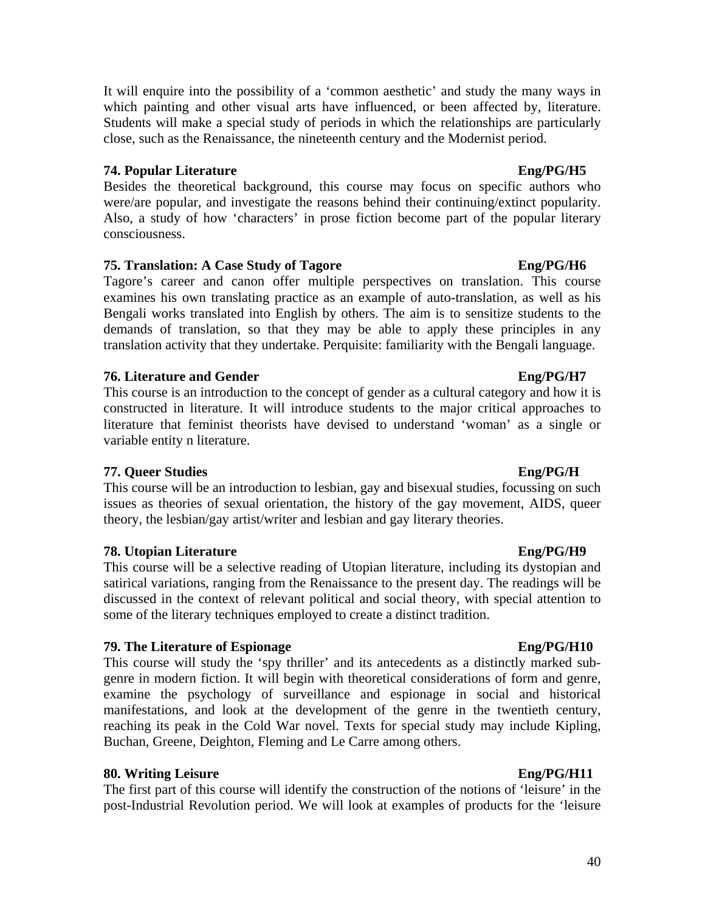40

It will enquire into the possibility of a 'common aesthetic' and study the many ways in which painting and other visual arts have influenced, or been affected by, literature. Students will make a special study of periods in which the relationships are particularly close, such as the Renaissance, the nineteenth century and the Modernist period.

### **74. Popular Literature Eng/PG/H5**

Besides the theoretical background, this course may focus on specific authors who were/are popular, and investigate the reasons behind their continuing/extinct popularity. Also, a study of how 'characters' in prose fiction become part of the popular literary consciousness.

### **75. Translation:** A Case Study of Tagore Eng/PG/H6

Tagore's career and canon offer multiple perspectives on translation. This course examines his own translating practice as an example of auto-translation, as well as his Bengali works translated into English by others. The aim is to sensitize students to the demands of translation, so that they may be able to apply these principles in any translation activity that they undertake. Perquisite: familiarity with the Bengali language.

### **76.** Literature and Gender **Eng/PG/H7**

This course is an introduction to the concept of gender as a cultural category and how it is constructed in literature. It will introduce students to the major critical approaches to literature that feminist theorists have devised to understand 'woman' as a single or variable entity n literature.

### **77. Queer Studies Eng/PG/H**

This course will be an introduction to lesbian, gay and bisexual studies, focussing on such issues as theories of sexual orientation, the history of the gay movement, AIDS, queer theory, the lesbian/gay artist/writer and lesbian and gay literary theories.

### **78. Utopian Literature Eng/PG/H9**

This course will be a selective reading of Utopian literature, including its dystopian and satirical variations, ranging from the Renaissance to the present day. The readings will be discussed in the context of relevant political and social theory, with special attention to some of the literary techniques employed to create a distinct tradition.

### **79.** The Literature of Espionage Engles Engles Engles

This course will study the 'spy thriller' and its antecedents as a distinctly marked subgenre in modern fiction. It will begin with theoretical considerations of form and genre, examine the psychology of surveillance and espionage in social and historical manifestations, and look at the development of the genre in the twentieth century, reaching its peak in the Cold War novel. Texts for special study may include Kipling, Buchan, Greene, Deighton, Fleming and Le Carre among others.

### **80.** Writing Leisure Eng/PG/H11

The first part of this course will identify the construction of the notions of 'leisure' in the post-Industrial Revolution period. We will look at examples of products for the 'leisure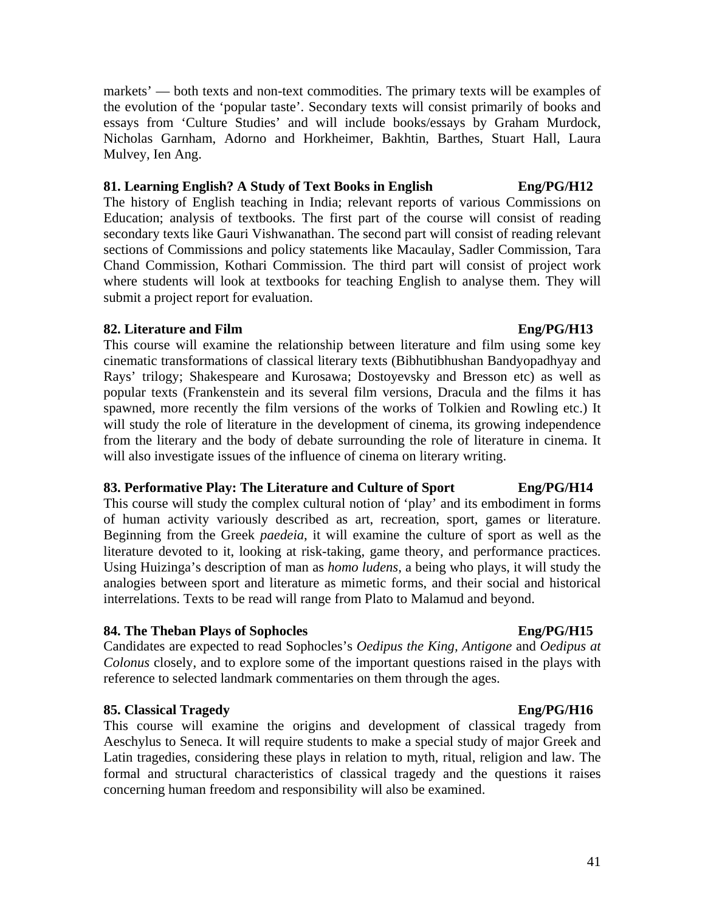**81. Learning English? A Study of Text Books in English Eng/PG/H12**  The history of English teaching in India; relevant reports of various Commissions on Education; analysis of textbooks. The first part of the course will consist of reading

secondary texts like Gauri Vishwanathan. The second part will consist of reading relevant sections of Commissions and policy statements like Macaulay, Sadler Commission, Tara Chand Commission, Kothari Commission. The third part will consist of project work where students will look at textbooks for teaching English to analyse them. They will submit a project report for evaluation.

markets' — both texts and non-text commodities. The primary texts will be examples of the evolution of the 'popular taste'. Secondary texts will consist primarily of books and essays from 'Culture Studies' and will include books/essays by Graham Murdock, Nicholas Garnham, Adorno and Horkheimer, Bakhtin, Barthes, Stuart Hall, Laura

### **82. Literature and Film Eng/PG/H13**

Mulvey, Ien Ang.

This course will examine the relationship between literature and film using some key cinematic transformations of classical literary texts (Bibhutibhushan Bandyopadhyay and Rays' trilogy; Shakespeare and Kurosawa; Dostoyevsky and Bresson etc) as well as popular texts (Frankenstein and its several film versions, Dracula and the films it has spawned, more recently the film versions of the works of Tolkien and Rowling etc.) It will study the role of literature in the development of cinema, its growing independence from the literary and the body of debate surrounding the role of literature in cinema. It will also investigate issues of the influence of cinema on literary writing.

### **83. Performative Play: The Literature and Culture of Sport Eng/PG/H14**

This course will study the complex cultural notion of 'play' and its embodiment in forms of human activity variously described as art, recreation, sport, games or literature. Beginning from the Greek *paedeia*, it will examine the culture of sport as well as the literature devoted to it, looking at risk-taking, game theory, and performance practices. Using Huizinga's description of man as *homo ludens*, a being who plays, it will study the analogies between sport and literature as mimetic forms, and their social and historical interrelations. Texts to be read will range from Plato to Malamud and beyond.

### **84. The Theban Plays of Sophocles Eng/PG/H15**

Candidates are expected to read Sophocles's *Oedipus the King, Antigone* and *Oedipus at Colonus* closely, and to explore some of the important questions raised in the plays with reference to selected landmark commentaries on them through the ages.

### **85. Classical Tragedy Eng/PG/H16**

This course will examine the origins and development of classical tragedy from Aeschylus to Seneca. It will require students to make a special study of major Greek and Latin tragedies, considering these plays in relation to myth, ritual, religion and law. The formal and structural characteristics of classical tragedy and the questions it raises concerning human freedom and responsibility will also be examined.

### 41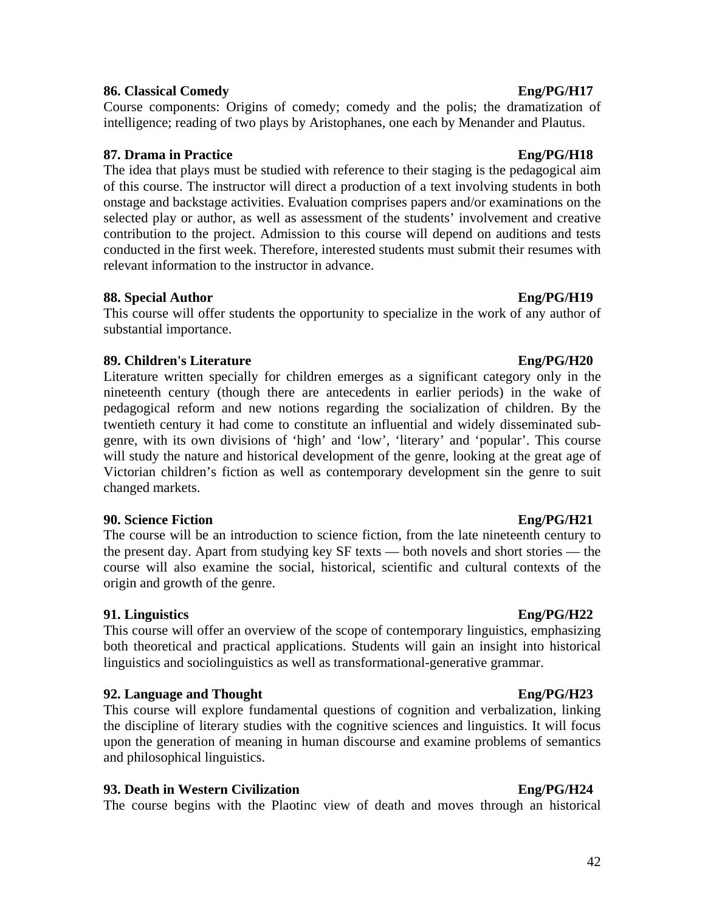### **86. Classical Comedy Eng/PG/H17**

Course components: Origins of comedy; comedy and the polis; the dramatization of intelligence; reading of two plays by Aristophanes, one each by Menander and Plautus.

### **87. Drama in Practice Eng/PG/H18**

The idea that plays must be studied with reference to their staging is the pedagogical aim of this course. The instructor will direct a production of a text involving students in both onstage and backstage activities. Evaluation comprises papers and/or examinations on the selected play or author, as well as assessment of the students' involvement and creative contribution to the project. Admission to this course will depend on auditions and tests conducted in the first week. Therefore, interested students must submit their resumes with relevant information to the instructor in advance.

### **88. Special Author Eng/PG/H19**

This course will offer students the opportunity to specialize in the work of any author of substantial importance.

### **89. Children's Literature Eng/PG/H20**

Literature written specially for children emerges as a significant category only in the nineteenth century (though there are antecedents in earlier periods) in the wake of pedagogical reform and new notions regarding the socialization of children. By the twentieth century it had come to constitute an influential and widely disseminated subgenre, with its own divisions of 'high' and 'low', 'literary' and 'popular'. This course will study the nature and historical development of the genre, looking at the great age of Victorian children's fiction as well as contemporary development sin the genre to suit changed markets.

### **90. Science Fiction Eng/PG/H21**

The course will be an introduction to science fiction, from the late nineteenth century to the present day. Apart from studying key SF texts — both novels and short stories — the course will also examine the social, historical, scientific and cultural contexts of the origin and growth of the genre.

### **91. Linguistics Eng/PG/H22**

This course will offer an overview of the scope of contemporary linguistics, emphasizing both theoretical and practical applications. Students will gain an insight into historical linguistics and sociolinguistics as well as transformational-generative grammar.

### **92. Language and Thought Eng/PG/H23**

This course will explore fundamental questions of cognition and verbalization, linking the discipline of literary studies with the cognitive sciences and linguistics. It will focus upon the generation of meaning in human discourse and examine problems of semantics and philosophical linguistics.

### **93. Death in Western Civilization Eng/PG/H24**

The course begins with the Plaotinc view of death and moves through an historical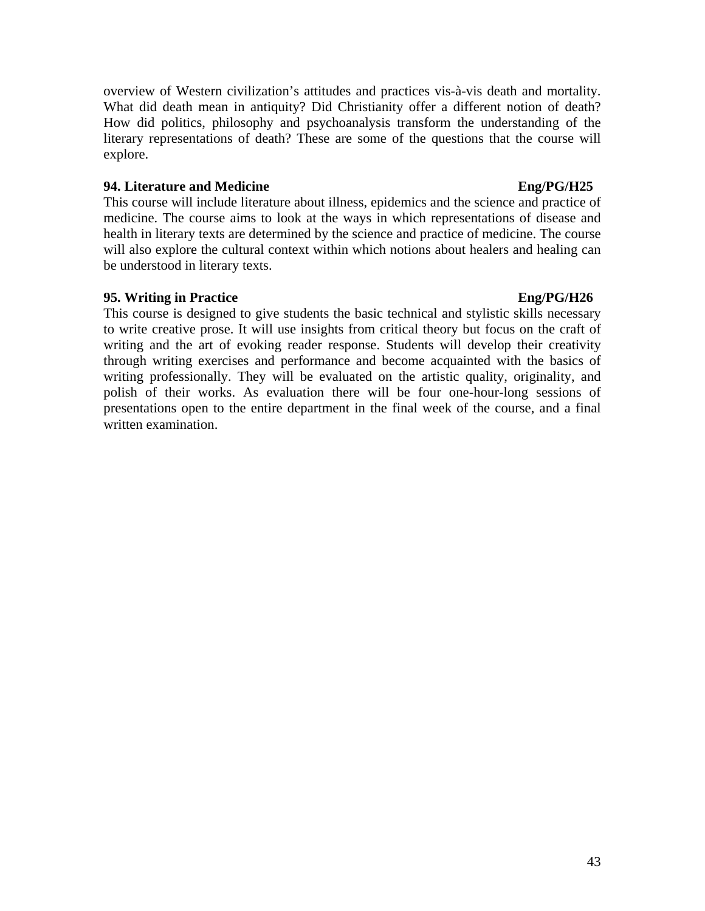overview of Western civilization's attitudes and practices vis-à-vis death and mortality. What did death mean in antiquity? Did Christianity offer a different notion of death? How did politics, philosophy and psychoanalysis transform the understanding of the literary representations of death? These are some of the questions that the course will explore.

### **94. Literature and Medicine Eng/PG/H25**

This course will include literature about illness, epidemics and the science and practice of medicine. The course aims to look at the ways in which representations of disease and health in literary texts are determined by the science and practice of medicine. The course will also explore the cultural context within which notions about healers and healing can be understood in literary texts.

## **95. Writing in Practice Eng/PG/H26**

This course is designed to give students the basic technical and stylistic skills necessary to write creative prose. It will use insights from critical theory but focus on the craft of writing and the art of evoking reader response. Students will develop their creativity through writing exercises and performance and become acquainted with the basics of writing professionally. They will be evaluated on the artistic quality, originality, and polish of their works. As evaluation there will be four one-hour-long sessions of presentations open to the entire department in the final week of the course, and a final written examination.